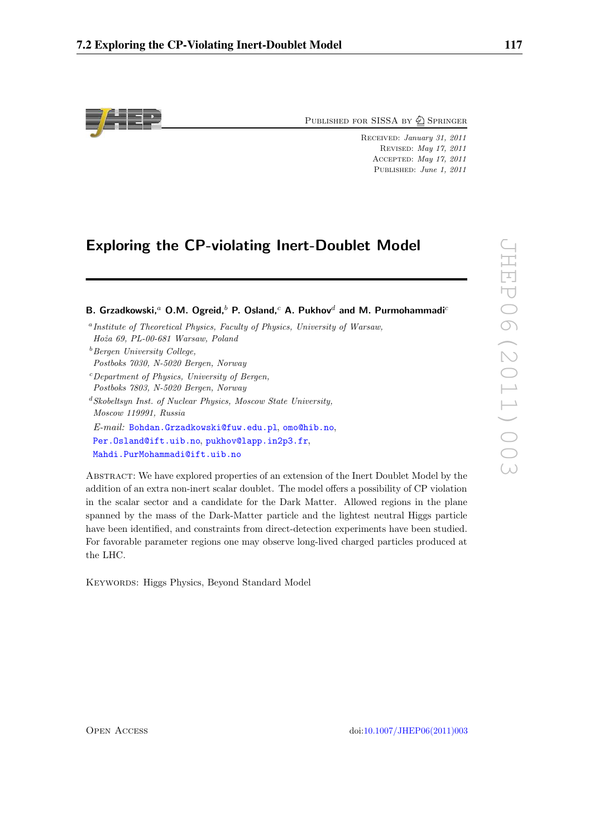

PUBLISHED FOR SISSA BY  $\bigcircled{2}$  Springer

Received: January 31, 2011 Revised: May 17, 2011 Accepted: May 17, 2011 PUBLISHED: June 1, 2011

# **Exploring the CP-violating Inert-Doublet Model**

| B. Grzadkowski, <sup>a</sup> O.M. Ogreid, <sup>b</sup> P. Osland, <sup>c</sup> A. Pukhov <sup>d</sup> and M. Purmohammadi <sup>c</sup> |  |  |
|----------------------------------------------------------------------------------------------------------------------------------------|--|--|
| <sup>a</sup> Institute of Theoretical Physics, Faculty of Physics, University of Warsaw,                                               |  |  |
| Hoża 69, PL-00-681 Warsaw, Poland                                                                                                      |  |  |
| <sup>b</sup> Bergen University College.                                                                                                |  |  |
| Postboks 7030, N-5020 Bergen, Norway                                                                                                   |  |  |
| <sup>c</sup> Department of Physics, University of Bergen,                                                                              |  |  |
| Postboks 7803, N-5020 Bergen, Norway                                                                                                   |  |  |
| ${}^d$ Skobeltsun Inst. of Nuclear Physics, Moscow State University,                                                                   |  |  |
| Moscow 119991, Russia                                                                                                                  |  |  |
| E-mail: Bohdan.Grzadkowski@fuw.edu.pl.omo@hib.no.                                                                                      |  |  |
| Per.Osland@ift.uib.no.pukhov@lapp.in2p3.fr.                                                                                            |  |  |
| Mahdi.PurMohammadi@ift.uib.no                                                                                                          |  |  |
| Aperpromitte here empered properties of an extension of the Inert Doublet Model by                                                     |  |  |

ABSTRACT: We have explored properties of an extension of the Inert Doublet Model by the addition of an extra non-inert scalar doublet. The model offers a possibility of CP violation in the scalar sector and a candidate for the Dark Matter. Allowed regions in the plane spanned by the mass of the Dark-Matter particle and the lightest neutral Higgs particle have been identified, and constraints from direct-detection experiments have been studied. For favorable parameter regions one may observe long-lived charged particles produced at the LHC.

Keywords: Higgs Physics, Beyond Standard Model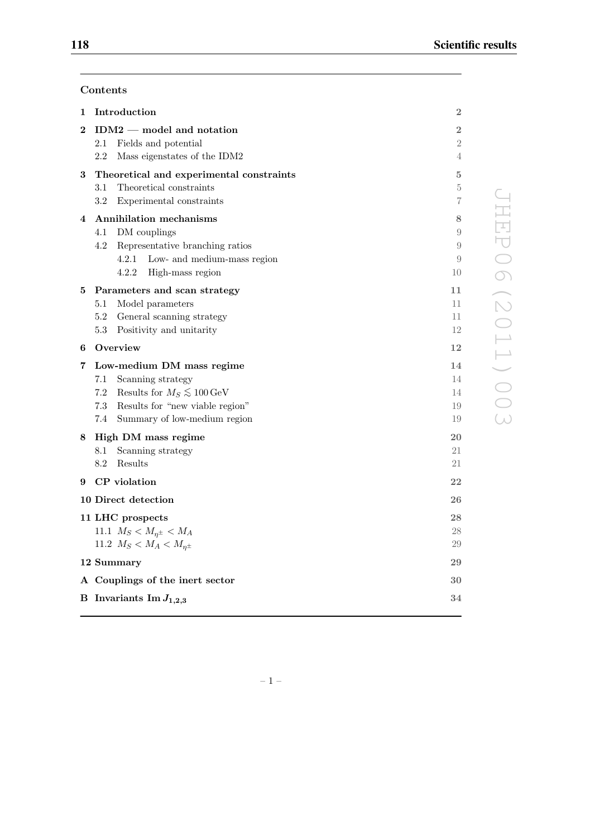JHEP06(2011)003

**JHEP06(2011)003** 

# **Contents**

| 1        | Introduction                                       | 2              |
|----------|----------------------------------------------------|----------------|
| $\bf{2}$ | $IDM2$ — model and notation                        | $\overline{2}$ |
|          | 2.1<br>Fields and potential                        | $\overline{2}$ |
|          | 2.2<br>Mass eigenstates of the IDM2                | 4              |
| 3        | Theoretical and experimental constraints           | 5              |
|          | Theoretical constraints<br>$3.1\,$                 | 5              |
|          | $3.2\,$<br>Experimental constraints                | 7              |
| 4        | Annihilation mechanisms                            | 8              |
|          | 4.1<br>DM couplings                                | 9              |
|          | 4.2<br>Representative branching ratios             | 9              |
|          | 4.2.1<br>Low- and medium-mass region               | 9              |
|          | 4.2.2<br>High-mass region                          | 10             |
| 5        | Parameters and scan strategy                       | 11             |
|          | 5.1<br>Model parameters                            | 11             |
|          | 5.2<br>General scanning strategy                   | 11             |
|          | 5.3<br>Positivity and unitarity                    | 12             |
| 6        | Overview                                           | 12             |
| 7        | Low-medium DM mass regime                          | 14             |
|          |                                                    |                |
|          | 7.1<br>Scanning strategy                           | 14             |
|          | 7.2<br>Results for $M_S \lesssim 100 \,\text{GeV}$ | 14             |
|          | 7.3<br>Results for "new viable region"             | 19             |
|          | 7.4<br>Summary of low-medium region                | 19             |
| 8        | High DM mass regime                                | 20             |
|          | 8.1<br>Scanning strategy                           | 21             |
|          | 8.2<br>Results                                     | 21             |
| 9        | CP violation                                       | 22             |
|          | 10 Direct detection                                | 26             |
|          | 11 LHC prospects                                   | 28             |
|          | 11.1 $M_S < M_{\eta^{\pm}} < M_A$                  | 28             |
|          | 11.2 $M_S < M_A < M_{n^{\pm}}$                     | 29             |
|          | 12 Summary                                         | 29             |
|          | A Couplings of the inert sector                    | 30             |

–1–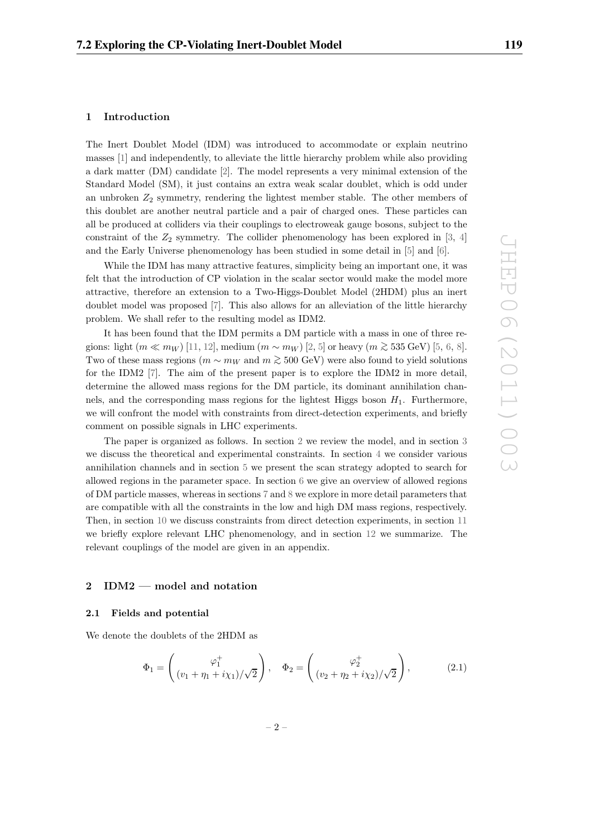# **1 Introduction**

The Inert Doublet Model (IDM) was introduced to accommodate or explain neutrino masses [1] and independently, to alleviate the little hierarchy problem while also providing a dark matter (DM) candidate [2]. The model represents a very minimal extension of the Standard Model (SM), it just contains an extra weak scalar doublet, which is odd under an unbroken  $Z_2$  symmetry, rendering the lightest member stable. The other members of this doublet are another neutral particle and a pair of charged ones. These particles can all be produced at colliders via their couplings to electroweak gauge bosons, subject to the constraint of the  $Z_2$  symmetry. The collider phenomenology has been explored in [3, 4] and the Early Universe phenomenology has been studied in some detail in [5] and [6].

While the IDM has many attractive features, simplicity being an important one, it was felt that the introduction of CP violation in the scalar sector would make the model more attractive, therefore an extension to a Two-Higgs-Doublet Model (2HDM) plus an inert doublet model was proposed [7]. This also allows for an alleviation of the little hierarchy problem. We shall refer to the resulting model as IDM2.

It has been found that the IDM permits a DM particle with a mass in one of three regions: light  $(m \ll m_W)$  [11, 12], medium  $(m \sim m_W)$  [2, 5] or heavy  $(m \gtrsim 535 \text{ GeV})$  [5, 6, 8]. Two of these mass regions ( $m \sim m_W$  and  $m \gtrsim 500$  GeV) were also found to yield solutions for the IDM2 [7]. The aim of the present paper is to explore the IDM2 in more detail, determine the allowed mass regions for the DM particle, its dominant annihilation channels, and the corresponding mass regions for the lightest Higgs boson  $H_1$ . Furthermore, we will confront the model with constraints from direct-detection experiments, and briefly comment on possible signals in LHC experiments.

The paper is organized as follows. In section 2 we review the model, and in section 3 we discuss the theoretical and experimental constraints. In section 4 we consider various annihilation channels and in section 5 we present the scan strategy adopted to search for allowed regions in the parameter space. In section 6 we give an overview of allowed regions of DM particle masses, whereas in sections 7 and 8 we explore in more detail parameters that are compatible with all the constraints in the low and high DM mass regions, respectively. Then, in section 10 we discuss constraints from direct detection experiments, in section 11 we briefly explore relevant LHC phenomenology, and in section 12 we summarize. The relevant couplings of the model are given in an appendix.

# **2 IDM2 — model and notation**

#### **2.1 Fields and potential**

We denote the doublets of the 2HDM as

$$
\Phi_1 = \begin{pmatrix} \varphi_1^+ \\ (v_1 + \eta_1 + i\chi_1)/\sqrt{2} \end{pmatrix}, \quad \Phi_2 = \begin{pmatrix} \varphi_2^+ \\ (v_2 + \eta_2 + i\chi_2)/\sqrt{2} \end{pmatrix},
$$
(2.1)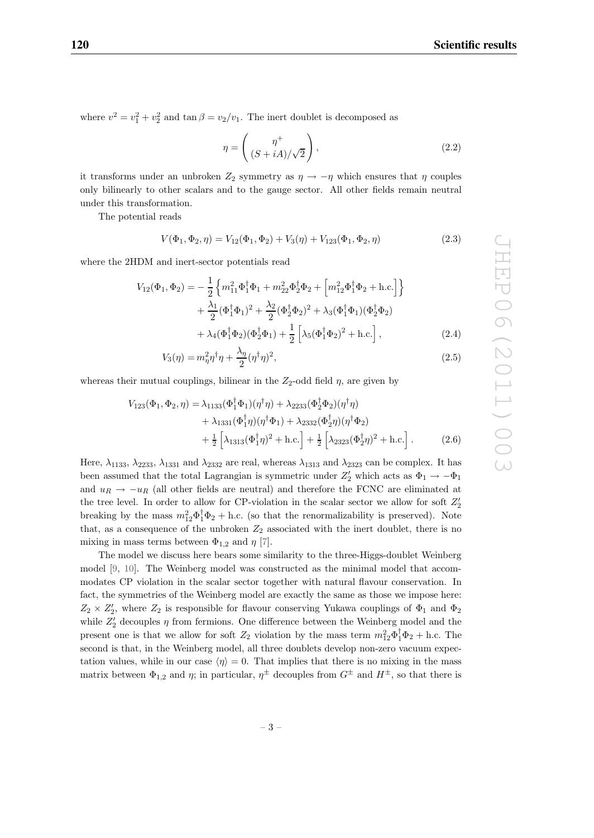where  $v^2 = v_1^2 + v_2^2$  and  $\tan \beta = v_2/v_1$ . The inert doublet is decomposed as

$$
\eta = \begin{pmatrix} \eta^+ \\ (S + iA)/\sqrt{2} \end{pmatrix},\tag{2.2}
$$

it transforms under an unbroken  $Z_2$  symmetry as  $\eta \to -\eta$  which ensures that  $\eta$  couples only bilinearly to other scalars and to the gauge sector. All other fields remain neutral under this transformation.

The potential reads

$$
V(\Phi_1, \Phi_2, \eta) = V_{12}(\Phi_1, \Phi_2) + V_{3}(\eta) + V_{123}(\Phi_1, \Phi_2, \eta)
$$
\n(2.3)

where the 2HDM and inert-sector potentials read

$$
V_{12}(\Phi_1, \Phi_2) = -\frac{1}{2} \left\{ m_{11}^2 \Phi_1^{\dagger} \Phi_1 + m_{22}^2 \Phi_2^{\dagger} \Phi_2 + \left[ m_{12}^2 \Phi_1^{\dagger} \Phi_2 + \text{h.c.} \right] \right\} + \frac{\lambda_1}{2} (\Phi_1^{\dagger} \Phi_1)^2 + \frac{\lambda_2}{2} (\Phi_2^{\dagger} \Phi_2)^2 + \lambda_3 (\Phi_1^{\dagger} \Phi_1) (\Phi_2^{\dagger} \Phi_2) + \lambda_4 (\Phi_1^{\dagger} \Phi_2) (\Phi_2^{\dagger} \Phi_1) + \frac{1}{2} \left[ \lambda_5 (\Phi_1^{\dagger} \Phi_2)^2 + \text{h.c.} \right],
$$
(2.4)

$$
V_3(\eta) = m_\eta^2 \eta^\dagger \eta + \frac{\lambda_\eta}{2} (\eta^\dagger \eta)^2,\tag{2.5}
$$

whereas their mutual couplings, bilinear in the  $Z_2$ -odd field  $\eta$ , are given by

$$
V_{123}(\Phi_1, \Phi_2, \eta) = \lambda_{1133}(\Phi_1^{\dagger} \Phi_1)(\eta^{\dagger} \eta) + \lambda_{2233}(\Phi_2^{\dagger} \Phi_2)(\eta^{\dagger} \eta) + \lambda_{1331}(\Phi_1^{\dagger} \eta)(\eta^{\dagger} \Phi_1) + \lambda_{2332}(\Phi_2^{\dagger} \eta)(\eta^{\dagger} \Phi_2) + \frac{1}{2} \left[ \lambda_{1313}(\Phi_1^{\dagger} \eta)^2 + \text{h.c.} \right] + \frac{1}{2} \left[ \lambda_{2323}(\Phi_2^{\dagger} \eta)^2 + \text{h.c.} \right].
$$
 (2.6)

Here,  $\lambda_{1133}$ ,  $\lambda_{2233}$ ,  $\lambda_{1331}$  and  $\lambda_{2332}$  are real, whereas  $\lambda_{1313}$  and  $\lambda_{2323}$  can be complex. It has been assumed that the total Lagrangian is symmetric under  $Z'_2$  which acts as  $\Phi_1 \to -\Phi_1$ and  $u_R \rightarrow -u_R$  (all other fields are neutral) and therefore the FCNC are eliminated at the tree level. In order to allow for CP-violation in the scalar sector we allow for soft  $Z_2'$ breaking by the mass  $m_{12}^2 \Phi_1^{\dagger} \Phi_2 + \text{h.c.}$  (so that the renormalizability is preserved). Note that, as a consequence of the unbroken  $Z_2$  associated with the inert doublet, there is no mixing in mass terms between  $\Phi_{1,2}$  and  $\eta$  [7].

The model we discuss here bears some similarity to the three-Higgs-doublet Weinberg model [9, 10]. The Weinberg model was constructed as the minimal model that accommodates CP violation in the scalar sector together with natural flavour conservation. In fact, the symmetries of the Weinberg model are exactly the same as those we impose here:  $Z_2 \times Z_2'$ , where  $Z_2$  is responsible for flavour conserving Yukawa couplings of  $\Phi_1$  and  $\Phi_2$ while  $Z'_2$  decouples  $\eta$  from fermions. One difference between the Weinberg model and the present one is that we allow for soft  $Z_2$  violation by the mass term  $m_{12}^2 \Phi_1^{\dagger} \Phi_2 +$  h.c. The second is that, in the Weinberg model, all three doublets develop non-zero vacuum expectation values, while in our case  $\langle \eta \rangle = 0$ . That implies that there is no mixing in the mass matrix between  $\Phi_{1,2}$  and  $\eta$ ; in particular,  $\eta^{\pm}$  decouples from  $G^{\pm}$  and  $H^{\pm}$ , so that there is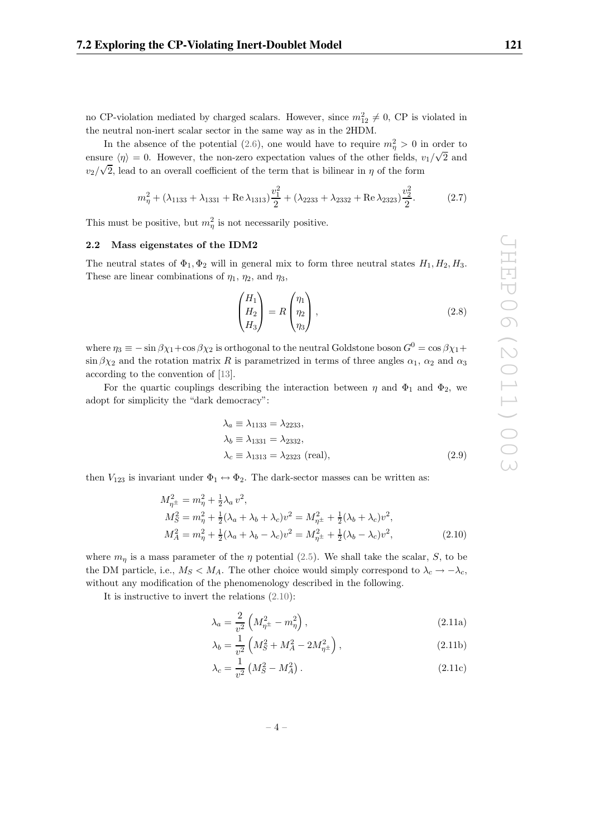no CP-violation mediated by charged scalars. However, since  $m_{12}^2 \neq 0$ , CP is violated in the neutral non-inert scalar sector in the same way as in the 2HDM.

In the absence of the potential (2.6), one would have to require  $m_{\eta}^2 > 0$  in order to ensure  $\langle \eta \rangle = 0$ . However, the non-zero expectation values of the other fields,  $v_1/\sqrt{2}$  and  $v_2/\sqrt{2}$ , lead to an overall coefficient of the term that is bilinear in  $\eta$  of the form

$$
m_{\eta}^{2} + (\lambda_{1133} + \lambda_{1331} + \text{Re }\lambda_{1313})\frac{v_{1}^{2}}{2} + (\lambda_{2233} + \lambda_{2332} + \text{Re }\lambda_{2323})\frac{v_{2}^{2}}{2}.
$$
 (2.7)

This must be positive, but  $m_{\eta}^2$  is not necessarily positive.

#### **2.2 Mass eigenstates of the IDM2**

The neutral states of  $\Phi_1$ ,  $\Phi_2$  will in general mix to form three neutral states  $H_1$ ,  $H_2$ ,  $H_3$ . These are linear combinations of  $\eta_1$ ,  $\eta_2$ , and  $\eta_3$ ,

$$
\begin{pmatrix} H_1 \\ H_2 \\ H_3 \end{pmatrix} = R \begin{pmatrix} \eta_1 \\ \eta_2 \\ \eta_3 \end{pmatrix},
$$
\n(2.8)

where  $\eta_3 \equiv -\sin \beta \chi_1 + \cos \beta \chi_2$  is orthogonal to the neutral Goldstone boson  $G^0 = \cos \beta \chi_1 + \cos \beta \chi_2$  $\sin \beta \chi_2$  and the rotation matrix R is parametrized in terms of three angles  $\alpha_1$ ,  $\alpha_2$  and  $\alpha_3$ according to the convention of [13].

For the quartic couplings describing the interaction between  $\eta$  and  $\Phi_1$  and  $\Phi_2$ , we adopt for simplicity the "dark democracy":

$$
\lambda_a \equiv \lambda_{1133} = \lambda_{2233},
$$
  
\n
$$
\lambda_b \equiv \lambda_{1331} = \lambda_{2332},
$$
  
\n
$$
\lambda_c \equiv \lambda_{1313} = \lambda_{2323} \text{ (real)},
$$
  
\n(2.9)

then  $V_{123}$  is invariant under  $\Phi_1 \leftrightarrow \Phi_2$ . The dark-sector masses can be written as:

$$
M_{\eta^{\pm}}^2 = m_{\eta}^2 + \frac{1}{2}\lambda_a v^2,
$$
  
\n
$$
M_S^2 = m_{\eta}^2 + \frac{1}{2}(\lambda_a + \lambda_b + \lambda_c)v^2 = M_{\eta^{\pm}}^2 + \frac{1}{2}(\lambda_b + \lambda_c)v^2,
$$
  
\n
$$
M_A^2 = m_{\eta}^2 + \frac{1}{2}(\lambda_a + \lambda_b - \lambda_c)v^2 = M_{\eta^{\pm}}^2 + \frac{1}{2}(\lambda_b - \lambda_c)v^2,
$$
\n(2.10)

where  $m_{\eta}$  is a mass parameter of the  $\eta$  potential (2.5). We shall take the scalar, S, to be the DM particle, i.e.,  $M_S < M_A$ . The other choice would simply correspond to  $\lambda_c \to -\lambda_c$ , without any modification of the phenomenology described in the following.

It is instructive to invert the relations (2.10):

$$
\lambda_a = \frac{2}{v^2} \left( M_{\eta^{\pm}}^2 - m_{\eta}^2 \right),
$$
\n(2.11a)

$$
\lambda_b = \frac{1}{v^2} \left( M_S^2 + M_A^2 - 2M_{\eta^\pm}^2 \right),\tag{2.11b}
$$

$$
\lambda_c = \frac{1}{v^2} \left( M_S^2 - M_A^2 \right). \tag{2.11c}
$$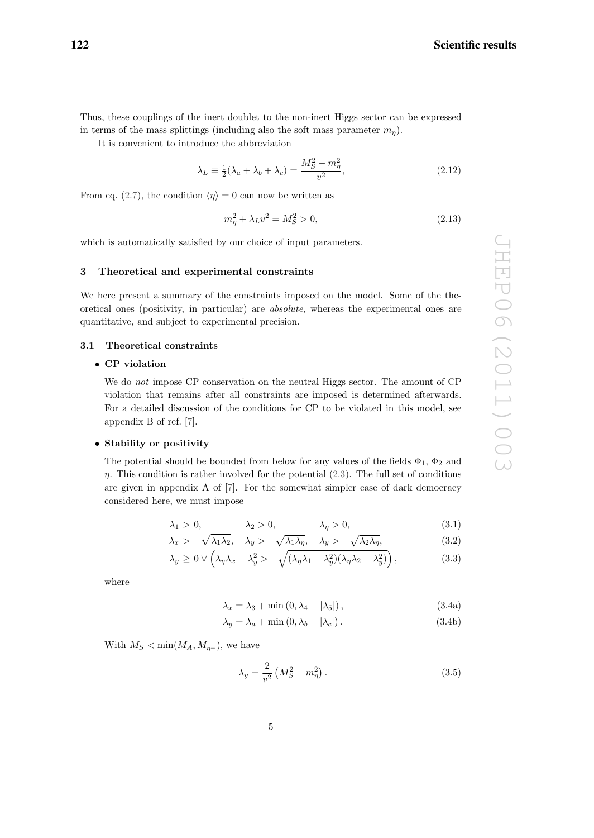Thus, these couplings of the inert doublet to the non-inert Higgs sector can be expressed in terms of the mass splittings (including also the soft mass parameter  $m_n$ ).

It is convenient to introduce the abbreviation

$$
\lambda_L \equiv \frac{1}{2} (\lambda_a + \lambda_b + \lambda_c) = \frac{M_S^2 - m_\eta^2}{v^2},\tag{2.12}
$$

From eq. (2.7), the condition  $\langle \eta \rangle = 0$  can now be written as

$$
m_{\eta}^{2} + \lambda_{L} v^{2} = M_{S}^{2} > 0, \qquad (2.13)
$$

which is automatically satisfied by our choice of input parameters.

# **3 Theoretical and experimental constraints**

We here present a summary of the constraints imposed on the model. Some of the theoretical ones (positivity, in particular) are absolute, whereas the experimental ones are quantitative, and subject to experimental precision.

#### **3.1 Theoretical constraints**

# • **CP violation**

We do not impose CP conservation on the neutral Higgs sector. The amount of CP violation that remains after all constraints are imposed is determined afterwards. For a detailed discussion of the conditions for CP to be violated in this model, see appendix B of ref. [7].

# • **Stability or positivity**

The potential should be bounded from below for any values of the fields  $\Phi_1$ ,  $\Phi_2$  and  $\eta$ . This condition is rather involved for the potential (2.3). The full set of conditions are given in appendix A of [7]. For the somewhat simpler case of dark democracy considered here, we must impose

$$
\lambda_1 > 0, \qquad \lambda_2 > 0, \qquad \lambda_\eta > 0, \tag{3.1}
$$

$$
\lambda_x > -\sqrt{\lambda_1 \lambda_2}, \quad \lambda_y > -\sqrt{\lambda_1 \lambda_\eta}, \quad \lambda_y > -\sqrt{\lambda_2 \lambda_\eta}, \tag{3.2}
$$

$$
\lambda_y \ge 0 \vee \left(\lambda_\eta \lambda_x - \lambda_y^2 > -\sqrt{(\lambda_\eta \lambda_1 - \lambda_y^2)(\lambda_\eta \lambda_2 - \lambda_y^2)}\right),\tag{3.3}
$$

where

$$
\lambda_x = \lambda_3 + \min\left(0, \lambda_4 - |\lambda_5|\right),\tag{3.4a}
$$

$$
\lambda_y = \lambda_a + \min(0, \lambda_b - |\lambda_c|). \tag{3.4b}
$$

With  $M_S < \min(M_A, M_{n^{\pm}})$ , we have

$$
\lambda_y = \frac{2}{v^2} \left( M_S^2 - m_\eta^2 \right). \tag{3.5}
$$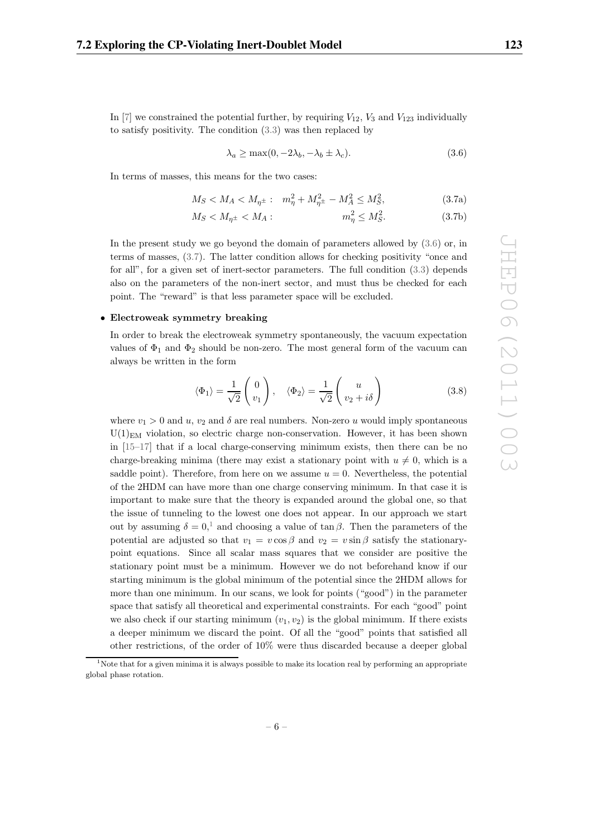In  $[7]$  we constrained the potential further, by requiring  $V_{12}$ ,  $V_3$  and  $V_{123}$  individually to satisfy positivity. The condition (3.3) was then replaced by

$$
\lambda_a \ge \max(0, -2\lambda_b, -\lambda_b \pm \lambda_c). \tag{3.6}
$$

In terms of masses, this means for the two cases:

$$
M_S < M_A < M_{\eta^{\pm}}: \quad m_{\eta}^2 + M_{\eta^{\pm}}^2 - M_A^2 \le M_S^2,\tag{3.7a}
$$

$$
M_S < M_{\eta^\pm} < M_A: \qquad m_\eta^2 \le M_S^2. \tag{3.7b}
$$

In the present study we go beyond the domain of parameters allowed by (3.6) or, in terms of masses, (3.7). The latter condition allows for checking positivity "once and for all", for a given set of inert-sector parameters. The full condition (3.3) depends also on the parameters of the non-inert sector, and must thus be checked for each point. The "reward" is that less parameter space will be excluded.

#### • **Electroweak symmetry breaking**

In order to break the electroweak symmetry spontaneously, the vacuum expectation values of  $\Phi_1$  and  $\Phi_2$  should be non-zero. The most general form of the vacuum can always be written in the form

$$
\langle \Phi_1 \rangle = \frac{1}{\sqrt{2}} \begin{pmatrix} 0 \\ v_1 \end{pmatrix}, \quad \langle \Phi_2 \rangle = \frac{1}{\sqrt{2}} \begin{pmatrix} u \\ v_2 + i\delta \end{pmatrix}
$$
 (3.8)

where  $v_1 > 0$  and  $u$ ,  $v_2$  and  $\delta$  are real numbers. Non-zero u would imply spontaneous  $U(1)_{EM}$  violation, so electric charge non-conservation. However, it has been shown in [15–17] that if a local charge-conserving minimum exists, then there can be no charge-breaking minima (there may exist a stationary point with  $u \neq 0$ , which is a saddle point). Therefore, from here on we assume  $u = 0$ . Nevertheless, the potential of the 2HDM can have more than one charge conserving minimum. In that case it is important to make sure that the theory is expanded around the global one, so that the issue of tunneling to the lowest one does not appear. In our approach we start out by assuming  $\delta = 0$ ,<sup>1</sup> and choosing a value of tan  $\beta$ . Then the parameters of the potential are adjusted so that  $v_1 = v \cos \beta$  and  $v_2 = v \sin \beta$  satisfy the stationarypoint equations. Since all scalar mass squares that we consider are positive the stationary point must be a minimum. However we do not beforehand know if our starting minimum is the global minimum of the potential since the 2HDM allows for more than one minimum. In our scans, we look for points ("good") in the parameter space that satisfy all theoretical and experimental constraints. For each "good" point we also check if our starting minimum  $(v_1, v_2)$  is the global minimum. If there exists a deeper minimum we discard the point. Of all the "good" points that satisfied all other restrictions, of the order of 10% were thus discarded because a deeper global

<sup>&</sup>lt;sup>1</sup>Note that for a given minima it is always possible to make its location real by performing an appropriate hal phase actation  $\sigma$  and  $\mathbf{r}$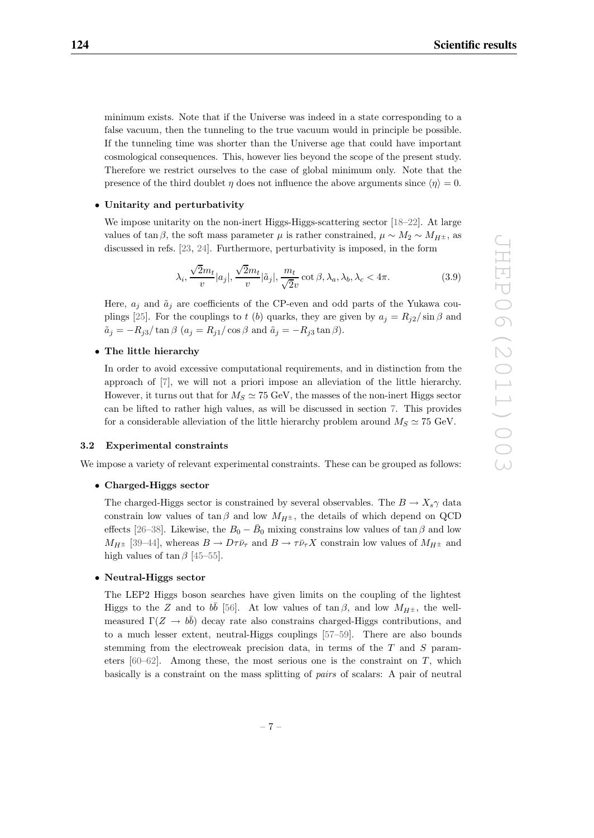minimum exists. Note that if the Universe was indeed in a state corresponding to a false vacuum, then the tunneling to the true vacuum would in principle be possible. If the tunneling time was shorter than the Universe age that could have important cosmological consequences. This, however lies beyond the scope of the present study. Therefore we restrict ourselves to the case of global minimum only. Note that the presence of the third doublet  $\eta$  does not influence the above arguments since  $\langle \eta \rangle = 0$ .

# • **Unitarity and perturbativity**

We impose unitarity on the non-inert Higgs-Higgs-scattering sector [18–22]. At large values of tan  $\beta$ , the soft mass parameter  $\mu$  is rather constrained,  $\mu \sim M_2 \sim M_{H^{\pm}}$ , as discussed in refs. [23, 24]. Furthermore, perturbativity is imposed, in the form

$$
\lambda_i, \frac{\sqrt{2}m_t}{v}|a_j|, \frac{\sqrt{2}m_t}{v}|\tilde{a}_j|, \frac{m_t}{\sqrt{2}v}\cot\beta, \lambda_a, \lambda_b, \lambda_c < 4\pi.
$$
 (3.9)

Here,  $a_j$  and  $\tilde{a}_j$  are coefficients of the CP-even and odd parts of the Yukawa couplings [25]. For the couplings to t (b) quarks, they are given by  $a_j = R_{j2}/\sin \beta$  and  $\tilde{a}_j = -R_{j3}/\tan \beta$   $(a_j = R_{j1}/\cos \beta \text{ and } \tilde{a}_j = -R_{j3} \tan \beta).$ 

# • **The little hierarchy**

In order to avoid excessive computational requirements, and in distinction from the approach of [7], we will not a priori impose an alleviation of the little hierarchy. However, it turns out that for  $M_S \simeq 75$  GeV, the masses of the non-inert Higgs sector can be lifted to rather high values, as will be discussed in section 7. This provides for a considerable alleviation of the little hierarchy problem around  $M_S \simeq 75$  GeV.

#### **3.2 Experimental constraints**

We impose a variety of relevant experimental constraints. These can be grouped as follows:

# • **Charged-Higgs sector**

The charged-Higgs sector is constrained by several observables. The  $B \to X_s \gamma$  data constrain low values of tan β and low  $M_{H^{\pm}}$ , the details of which depend on QCD effects [26–38]. Likewise, the  $B_0 - \bar{B}_0$  mixing constrains low values of tan  $\beta$  and low  $M_{H^{\pm}}$  [39–44], whereas  $B \to D\tau \bar{\nu}_{\tau}$  and  $B \to \tau \bar{\nu}_{\tau} X$  constrain low values of  $M_{H^{\pm}}$  and high values of  $\tan \beta$  [45–55].

# • **Neutral-Higgs sector**

The LEP2 Higgs boson searches have given limits on the coupling of the lightest Higgs to the Z and to  $b\bar{b}$  [56]. At low values of tan β, and low  $M_{H^{\pm}}$ , the wellmeasured  $\Gamma(Z \to b\bar{b})$  decay rate also constrains charged-Higgs contributions, and to a much lesser extent, neutral-Higgs couplings [57–59]. There are also bounds stemming from the electroweak precision data, in terms of the T and S parameters  $[60-62]$ . Among these, the most serious one is the constraint on T, which basically is a constraint on the mass splitting of pairs of scalars: A pair of neutral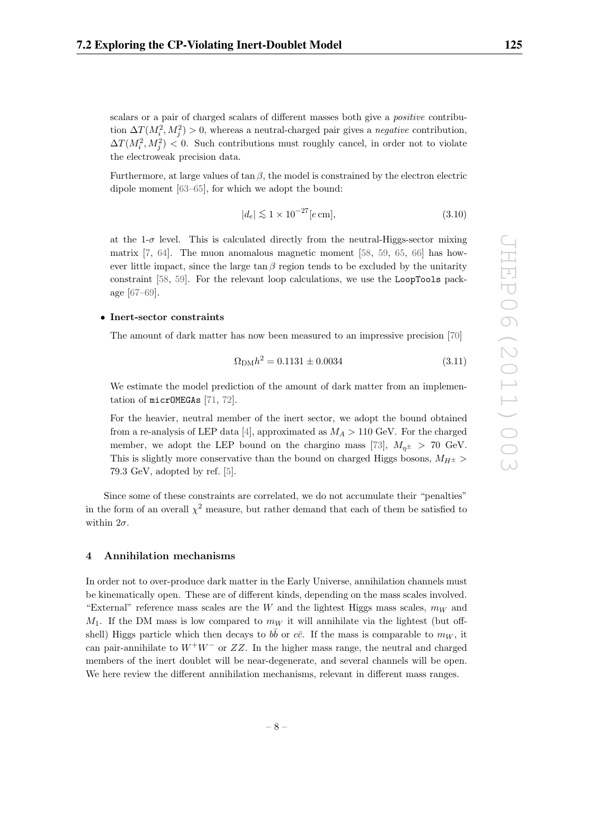scalars or a pair of charged scalars of different masses both give a *positive* contribution  $\Delta T(M_i^2, M_j^2) > 0$ , whereas a neutral-charged pair gives a *negative* contribution,  $\Delta T(M_i^2, M_j^2) < 0$ . Such contributions must roughly cancel, in order not to violate the electroweak precision data.

Furthermore, at large values of  $\tan \beta$ , the model is constrained by the electron electric dipole moment [63–65], for which we adopt the bound:

$$
|d_e| \lesssim 1 \times 10^{-27} [e \,\mathrm{cm}],\tag{3.10}
$$

at the  $1-\sigma$  level. This is calculated directly from the neutral-Higgs-sector mixing matrix  $[7, 64]$ . The muon anomalous magnetic moment  $[58, 59, 65, 66]$  has however little impact, since the large  $\tan \beta$  region tends to be excluded by the unitarity constraint [58, 59]. For the relevant loop calculations, we use the LoopTools package [67–69].

#### • **Inert-sector constraints**

The amount of dark matter has now been measured to an impressive precision [70]

$$
\Omega_{\text{DM}}h^2 = 0.1131 \pm 0.0034\tag{3.11}
$$

We estimate the model prediction of the amount of dark matter from an implementation of micrOMEGAs [71, 72].

For the heavier, neutral member of the inert sector, we adopt the bound obtained from a re-analysis of LEP data [4], approximated as  $M_A > 110$  GeV. For the charged member, we adopt the LEP bound on the chargino mass [73],  $M_{n^{\pm}} > 70$  GeV. This is slightly more conservative than the bound on charged Higgs bosons,  $M_{H^{\pm}}$  > 79.3 GeV, adopted by ref. [5].

Since some of these constraints are correlated, we do not accumulate their "penalties" in the form of an overall  $\chi^2$  measure, but rather demand that each of them be satisfied to within  $2\sigma$ .

# **4 Annihilation mechanisms**

In order not to over-produce dark matter in the Early Universe, annihilation channels must be kinematically open. These are of different kinds, depending on the mass scales involved. "External" reference mass scales are the W and the lightest Higgs mass scales,  $m_W$  and  $M_1$ . If the DM mass is low compared to  $m_W$  it will annihilate via the lightest (but offshell) Higgs particle which then decays to  $b\bar{b}$  or  $c\bar{c}$ . If the mass is comparable to  $m_W$ , it can pair-annihilate to  $W^+W^-$  or  $ZZ$ . In the higher mass range, the neutral and charged members of the inert doublet will be near-degenerate, and several channels will be open. We here review the different annihilation mechanisms, relevant in different mass ranges.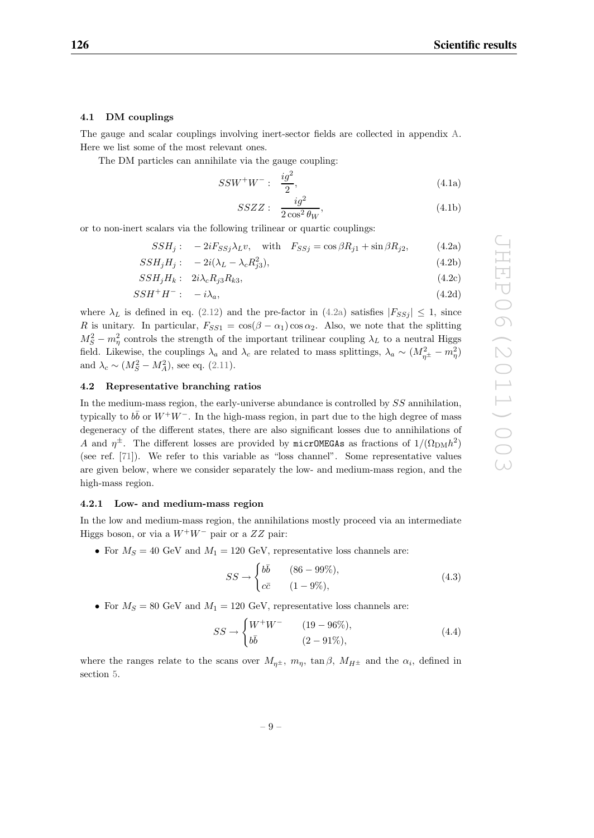#### **4.1 DM couplings**

The gauge and scalar couplings involving inert-sector fields are collected in appendix A. Here we list some of the most relevant ones.

The DM particles can annihilate via the gauge coupling:

$$
SSW^{+}W^{-}: \frac{ig^{2}}{2}, \qquad (4.1a)
$$

$$
SSZZ: \quad \frac{ig^2}{2\cos^2\theta_W},\tag{4.1b}
$$

or to non-inert scalars via the following trilinear or quartic couplings:

 $SSH_j: -2iF_{SSj}\lambda_L v$ , with  $F_{SSj} = \cos\beta R_{j1} + \sin\beta R_{j2}$ , (4.2a)

$$
SSH_jH_j: \quad -2i(\lambda_L - \lambda_c R_{j3}^2),\tag{4.2b}
$$

$$
SSH_jH_k: 2i\lambda_cR_{j3}R_{k3},\t\t(4.2c)
$$

$$
SSH^+H^-: \quad -i\lambda_a,\tag{4.2d}
$$

where  $\lambda_L$  is defined in eq. (2.12) and the pre-factor in (4.2a) satisfies  $|F_{SSj}| \leq 1$ , since R is unitary. In particular,  $F_{SS1} = \cos(\beta - \alpha_1)\cos \alpha_2$ . Also, we note that the splitting  $M_S^2 - m_\eta^2$  controls the strength of the important trilinear coupling  $\lambda_L$  to a neutral Higgs field. Likewise, the couplings  $\lambda_a$  and  $\lambda_c$  are related to mass splittings,  $\lambda_a \sim (M_{\eta^{\pm}}^2 - m_{\eta}^2)$ and  $\lambda_c \sim (M_S^2 - M_A^2)$ , see eq. (2.11).

# **4.2 Representative branching ratios**

In the medium-mass region, the early-universe abundance is controlled by SS annihilation, typically to  $b\bar{b}$  or  $W^+W^-$ . In the high-mass region, in part due to the high degree of mass degeneracy of the different states, there are also significant losses due to annihilations of A and  $\eta^{\pm}$ . The different losses are provided by micrOMEGAs as fractions of  $1/(\Omega_{\rm DM}h^2)$ (see ref. [71]). We refer to this variable as "loss channel". Some representative values are given below, where we consider separately the low- and medium-mass region, and the high-mass region.

## **4.2.1 Low- and medium-mass region**

In the low and medium-mass region, the annihilations mostly proceed via an intermediate Higgs boson, or via a  $W^+W^-$  pair or a  $ZZ$  pair:

• For  $M_s = 40$  GeV and  $M_1 = 120$  GeV, representative loss channels are:

$$
SS \to \begin{cases} b\bar{b} & (86 - 99\%), \\ c\bar{c} & (1 - 9\%), \end{cases}
$$
(4.3)

• For  $M_S = 80$  GeV and  $M_1 = 120$  GeV, representative loss channels are:

$$
SS \to \begin{cases} W^+W^- & (19-96\%),\\ b\bar{b} & (2-91\%), \end{cases}
$$
 (4.4)

where the ranges relate to the scans over  $M_{n^{\pm}}$ ,  $m_n$ ,  $\tan \beta$ ,  $M_{H^{\pm}}$  and the  $\alpha_i$ , defined in section 5.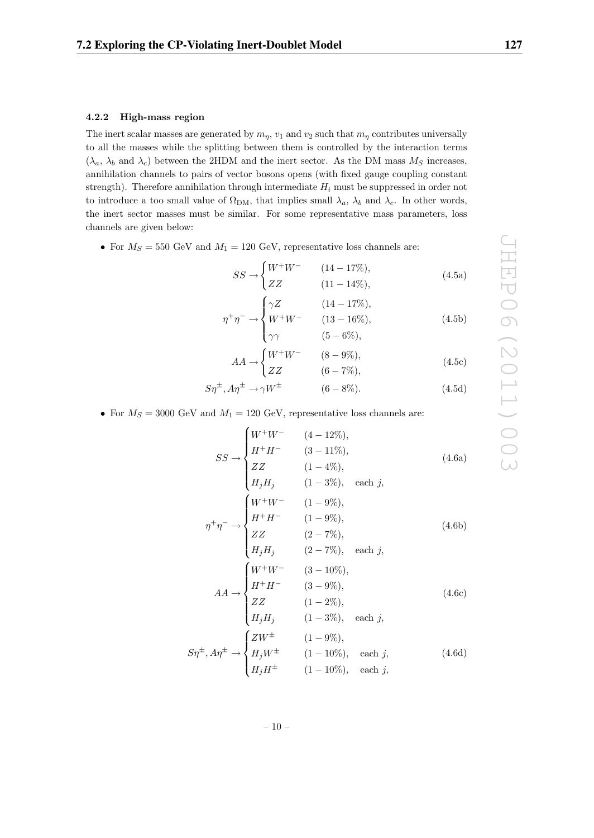#### **4.2.2 High-mass region**

The inert scalar masses are generated by  $m_n$ ,  $v_1$  and  $v_2$  such that  $m_n$  contributes universally to all the masses while the splitting between them is controlled by the interaction terms  $(\lambda_a, \lambda_b$  and  $\lambda_c)$  between the 2HDM and the inert sector. As the DM mass  $M_S$  increases, annihilation channels to pairs of vector bosons opens (with fixed gauge coupling constant strength). Therefore annihilation through intermediate  $H_i$  must be suppressed in order not to introduce a too small value of  $\Omega_{DM}$ , that implies small  $\lambda_a$ ,  $\lambda_b$  and  $\lambda_c$ . In other words, the inert sector masses must be similar. For some representative mass parameters, loss channels are given below:

• For  $M_S = 550$  GeV and  $M_1 = 120$  GeV, representative loss channels are:

$$
SS \to \begin{cases} W^+W^- & (14-17\%),\\ ZZ & (11-14\%), \end{cases}
$$
 (4.5a)

$$
\eta^{+}\eta^{-} \to \begin{cases}\n\gamma Z & (14-17\%),\\
W^{+}W^{-} & (13-16\%),\\
\gamma \gamma & (5-6\%),\n\end{cases}
$$
\n(4.5b)

$$
AA \to \begin{cases} W^+W^- & (8-9\%),\\ ZZ & (6-7\%), \end{cases}
$$
 (4.5c)

$$
S\eta^{\pm}, A\eta^{\pm} \to \gamma W^{\pm} \tag{6-8\%}.
$$

• For  $M_S = 3000$  GeV and  $M_1 = 120$  GeV, representative loss channels are:

$$
SS \rightarrow \begin{cases} W^+W^- & (4-12\%), \\ H^+H^- & (3-11\%), \\ ZZ & (1-4\%), \\ H_jH_j & (1-3\%), \text{ each } j, \end{cases} \tag{4.6a}
$$
\n
$$
\eta^+\eta^- \rightarrow \begin{cases} W^+W^- & (1-9\%), \\ H^+H^- & (1-9\%), \\ ZZ & (2-7\%), \\ H_jH_j & (2-7\%), \text{ each } j, \end{cases} \tag{4.6b}
$$
\n
$$
AA \rightarrow \begin{cases} W^+W^- & (3-10\%), \\ H^+H^- & (3-9\%), \\ ZZ & (1-2\%), \\ ZZ & (1-2\%), \\ H_jH_j & (1-3\%), \text{ each } j, \end{cases} \tag{4.6c}
$$
\n
$$
S\eta^{\pm}, A\eta^{\pm} \rightarrow \begin{cases} ZW^{\pm} & (1-10\%), \text{ each } j, \\ H_jH^{\pm} & (1-10\%), \text{ each } j, \\ H_jH^{\pm} & (1-10\%), \text{ each } j, \end{cases} \tag{4.6d}
$$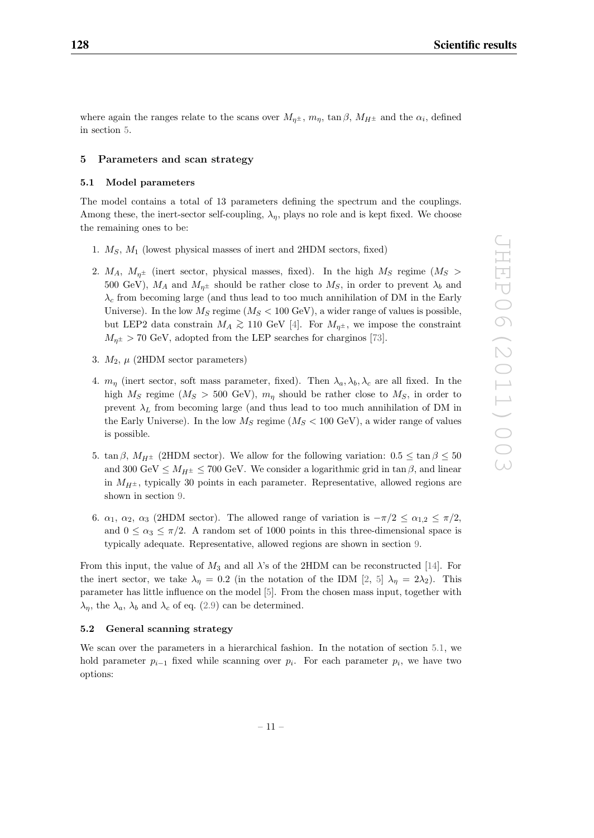where again the ranges relate to the scans over  $M_{\eta^{\pm}}$ ,  $m_{\eta}$ ,  $\tan \beta$ ,  $M_{H^{\pm}}$  and the  $\alpha_i$ , defined in section 5.

#### **5 Parameters and scan strategy**

# **5.1 Model parameters**

The model contains a total of 13 parameters defining the spectrum and the couplings. Among these, the inert-sector self-coupling,  $\lambda_n$ , plays no role and is kept fixed. We choose the remaining ones to be:

- 1.  $M_S$ ,  $M_1$  (lowest physical masses of inert and 2HDM sectors, fixed)
- 2.  $M_A$ ,  $M_{\eta^{\pm}}$  (inert sector, physical masses, fixed). In the high  $M_S$  regime ( $M_S$ ) 500 GeV),  $M_A$  and  $M_{\eta^{\pm}}$  should be rather close to  $M_S$ , in order to prevent  $\lambda_b$  and  $\lambda_c$  from becoming large (and thus lead to too much annihilation of DM in the Early Universe). In the low  $M_S$  regime ( $M_S < 100 \text{ GeV}$ ), a wider range of values is possible, but LEP2 data constrain  $M_A \gtrsim 110$  GeV [4]. For  $M_{\eta^{\pm}}$ , we impose the constraint  $M_{n^{\pm}} > 70$  GeV, adopted from the LEP searches for charginos [73].
- 3.  $M_2$ ,  $\mu$  (2HDM sector parameters)
- 4.  $m_{\eta}$  (inert sector, soft mass parameter, fixed). Then  $\lambda_a, \lambda_b, \lambda_c$  are all fixed. In the high  $M_S$  regime  $(M_S > 500 \text{ GeV})$ ,  $m_\eta$  should be rather close to  $M_S$ , in order to prevent  $\lambda_L$  from becoming large (and thus lead to too much annihilation of DM in the Early Universe). In the low  $M_S$  regime  $(M_S < 100 \text{ GeV})$ , a wider range of values is possible.
- 5. tan  $\beta$ ,  $M_{H^{\pm}}$  (2HDM sector). We allow for the following variation:  $0.5 \leq \tan \beta \leq 50$ and 300 GeV  $\leq M_{H^{\pm}} \leq 700$  GeV. We consider a logarithmic grid in tan  $\beta$ , and linear in  $M_{H^{\pm}}$ , typically 30 points in each parameter. Representative, allowed regions are shown in section 9.
- 6.  $\alpha_1$ ,  $\alpha_2$ ,  $\alpha_3$  (2HDM sector). The allowed range of variation is  $-\pi/2 \leq \alpha_{1,2} \leq \pi/2$ , and  $0 \le \alpha_3 \le \pi/2$ . A random set of 1000 points in this three-dimensional space is typically adequate. Representative, allowed regions are shown in section 9.

From this input, the value of  $M_3$  and all  $\lambda$ 's of the 2HDM can be reconstructed [14]. For the inert sector, we take  $\lambda_{\eta} = 0.2$  (in the notation of the IDM [2, 5]  $\lambda_{\eta} = 2\lambda_2$ ). This parameter has little influence on the model [5]. From the chosen mass input, together with  $\lambda_{\eta}$ , the  $\lambda_{a}$ ,  $\lambda_{b}$  and  $\lambda_{c}$  of eq. (2.9) can be determined.

# **5.2 General scanning strategy**

We scan over the parameters in a hierarchical fashion. In the notation of section 5.1, we hold parameter  $p_{i-1}$  fixed while scanning over  $p_i$ . For each parameter  $p_i$ , we have two options: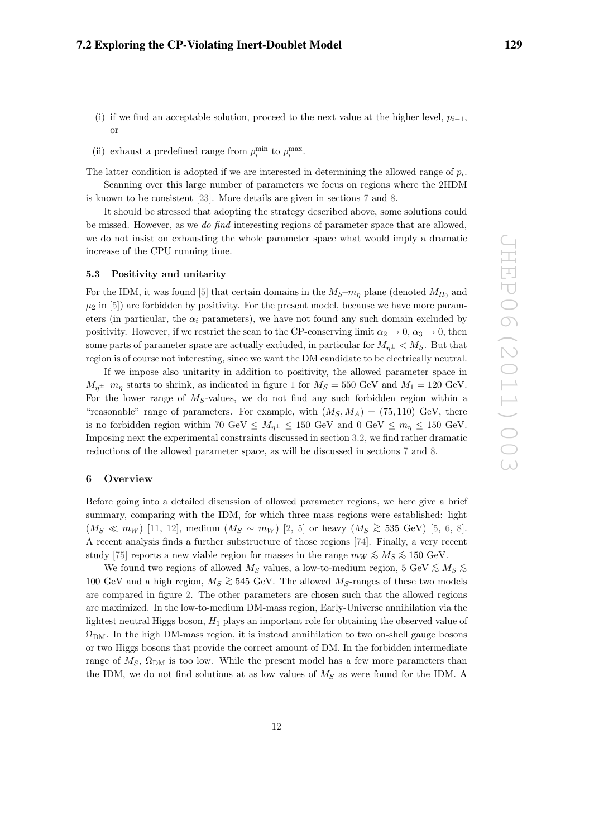- (i) if we find an acceptable solution, proceed to the next value at the higher level,  $p_{i-1}$ , or
- (ii) exhaust a predefined range from  $p_i^{\min}$  to  $p_i^{\max}$ .

The latter condition is adopted if we are interested in determining the allowed range of  $p_i$ .

Scanning over this large number of parameters we focus on regions where the 2HDM is known to be consistent [23]. More details are given in sections 7 and 8.

It should be stressed that adopting the strategy described above, some solutions could be missed. However, as we do find interesting regions of parameter space that are allowed, we do not insist on exhausting the whole parameter space what would imply a dramatic increase of the CPU running time.

# **5.3 Positivity and unitarity**

For the IDM, it was found [5] that certain domains in the  $M_S-m_n$  plane (denoted  $M_{H_0}$  and  $\mu_2$  in [5]) are forbidden by positivity. For the present model, because we have more parameters (in particular, the  $\alpha_i$  parameters), we have not found any such domain excluded by positivity. However, if we restrict the scan to the CP-conserving limit  $\alpha_2 \to 0$ ,  $\alpha_3 \to 0$ , then some parts of parameter space are actually excluded, in particular for  $M_{n^{\pm}} < M_S$ . But that region is of course not interesting, since we want the DM candidate to be electrically neutral.

If we impose also unitarity in addition to positivity, the allowed parameter space in  $M_{n^{\pm}}$  –m<sub>n</sub> starts to shrink, as indicated in figure 1 for  $M_S = 550$  GeV and  $M_1 = 120$  GeV. For the lower range of  $M<sub>S</sub>$ -values, we do not find any such forbidden region within a "reasonable" range of parameters. For example, with  $(M_S, M_A) = (75, 110)$  GeV, there is no forbidden region within 70 GeV  $\leq M_{\eta^\pm} \leq 150$  GeV and  $0 \text{ GeV} \leq m_\eta \leq 150$  GeV. Imposing next the experimental constraints discussed in section 3.2, we find rather dramatic reductions of the allowed parameter space, as will be discussed in sections 7 and 8.

# **6 Overview**

Before going into a detailed discussion of allowed parameter regions, we here give a brief summary, comparing with the IDM, for which three mass regions were established: light  $(M_S \ll m_W)$  [11, 12], medium  $(M_S \sim m_W)$  [2, 5] or heavy  $(M_S \gtrsim 535 \text{ GeV})$  [5, 6, 8]. A recent analysis finds a further substructure of those regions [74]. Finally, a very recent study [75] reports a new viable region for masses in the range  $m_W \lesssim M_S \lesssim 150$  GeV.

We found two regions of allowed  $M_S$  values, a low-to-medium region, 5 GeV  $\lesssim M_S \lesssim$ 100 GeV and a high region,  $M_S \gtrsim 545$  GeV. The allowed  $M_S$ -ranges of these two models are compared in figure 2. The other parameters are chosen such that the allowed regions are maximized. In the low-to-medium DM-mass region, Early-Universe annihilation via the lightest neutral Higgs boson,  $H_1$  plays an important role for obtaining the observed value of  $\Omega_{\rm DM}$ . In the high DM-mass region, it is instead annihilation to two on-shell gauge bosons or two Higgs bosons that provide the correct amount of DM. In the forbidden intermediate range of  $M_S$ ,  $\Omega_{\rm DM}$  is too low. While the present model has a few more parameters than the IDM, we do not find solutions at as low values of  $M<sub>S</sub>$  as were found for the IDM. A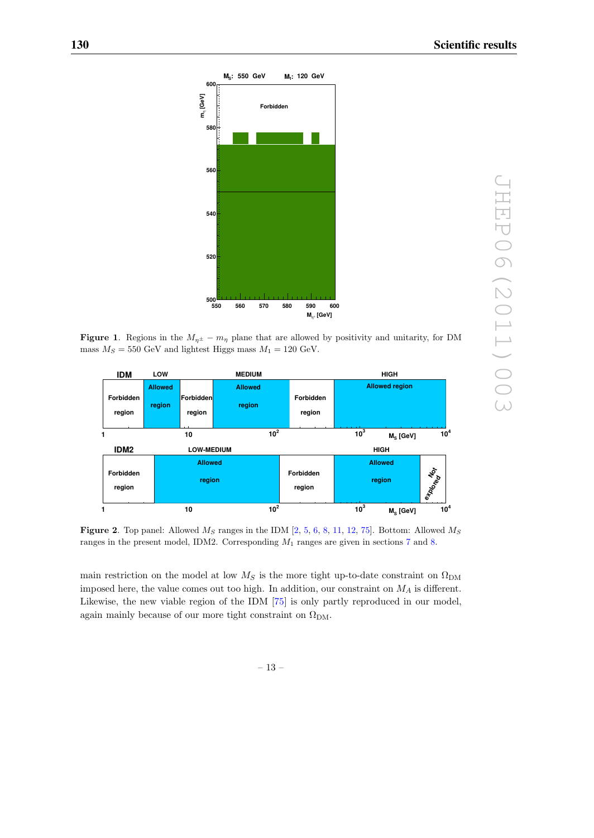

**Figure 1.** Regions in the  $M_{\eta^{\pm}} - m_{\eta}$  plane that are allowed by positivity and unitarity, for DM mass  $M_S = 550$  GeV and lightest Higgs mass  $M_1 = 120$  GeV.



**Figure 2**. Top panel: Allowed  $M_S$  ranges in the IDM  $[2, 5, 6, 8, 11, 12, 75]$ . Bottom: Allowed  $M_S$ ranges in the present model, IDM2. Corresponding  $M_1$  ranges are given in sections 7 and 8.

main restriction on the model at low  $M_S$  is the more tight up-to-date constraint on  $\Omega_{\rm DM}$ imposed here, the value comes out too high. In addition, our constraint on  $M_A$  is different. Likewise, the new viable region of the IDM [75] is only partly reproduced in our model, again mainly because of our more tight constraint on  $\Omega_{\rm DM}$ .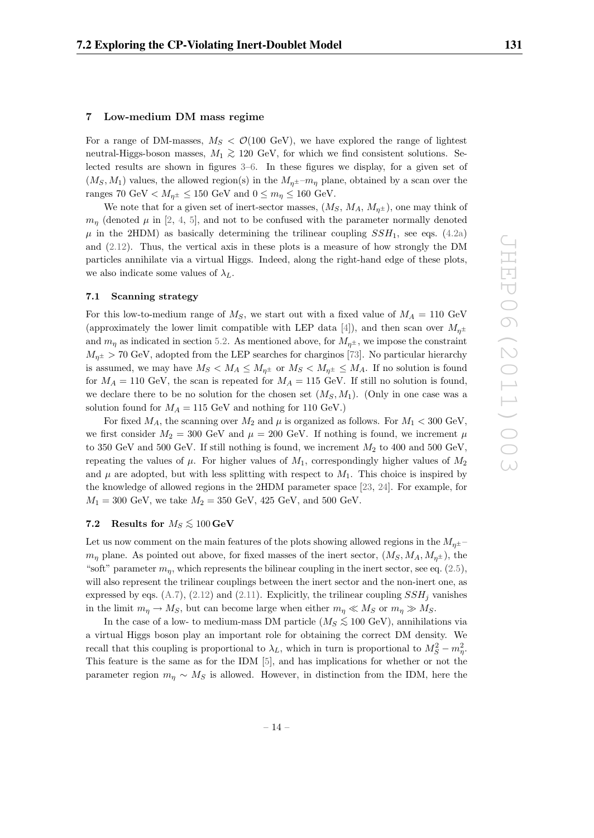# **7 Low-medium DM mass regime**

For a range of DM-masses,  $M_S < \mathcal{O}(100 \text{ GeV})$ , we have explored the range of lightest neutral-Higgs-boson masses,  $M_1$   $\gtrsim$  120 GeV, for which we find consistent solutions. Selected results are shown in figures 3–6. In these figures we display, for a given set of  $(M<sub>S</sub>, M<sub>1</sub>)$  values, the allowed region(s) in the  $M<sub>n</sub>±-m<sub>n</sub>$  plane, obtained by a scan over the ranges 70 GeV  $\lt M_{\eta^\pm} \leq 150$  GeV and  $0 \leq m_\eta \leq 160$  GeV.

We note that for a given set of inert-sector masses,  $(M_S, M_A, M_{\eta^{\pm}})$ , one may think of  $m_{\eta}$  (denoted  $\mu$  in [2, 4, 5], and not to be confused with the parameter normally denoted  $\mu$  in the 2HDM) as basically determining the trilinear coupling  $SSH_1$ , see eqs. (4.2a) and (2.12). Thus, the vertical axis in these plots is a measure of how strongly the DM particles annihilate via a virtual Higgs. Indeed, along the right-hand edge of these plots, we also indicate some values of  $\lambda_L$ .

# **7.1 Scanning strategy**

For this low-to-medium range of  $M<sub>S</sub>$ , we start out with a fixed value of  $M<sub>A</sub> = 110$  GeV (approximately the lower limit compatible with LEP data [4]), and then scan over  $M_{n\pm}$ and  $m_n$  as indicated in section 5.2. As mentioned above, for  $M_{n^{\pm}}$ , we impose the constraint  $M_{\eta^{\pm}} > 70$  GeV, adopted from the LEP searches for charginos [73]. No particular hierarchy is assumed, we may have  $M_S < M_A \leq M_{\eta^{\pm}}$  or  $M_S < M_{\eta^{\pm}} \leq M_A$ . If no solution is found for  $M_A = 110 \text{ GeV}$ , the scan is repeated for  $M_A = 115 \text{ GeV}$ . If still no solution is found, we declare there to be no solution for the chosen set  $(M_S, M_1)$ . (Only in one case was a solution found for  $M_A = 115$  GeV and nothing for 110 GeV.)

For fixed  $M_A$ , the scanning over  $M_2$  and  $\mu$  is organized as follows. For  $M_1 < 300$  GeV, we first consider  $M_2 = 300$  GeV and  $\mu = 200$  GeV. If nothing is found, we increment  $\mu$ to 350 GeV and 500 GeV. If still nothing is found, we increment  $M_2$  to 400 and 500 GeV, repeating the values of  $\mu$ . For higher values of  $M_1$ , correspondingly higher values of  $M_2$ and  $\mu$  are adopted, but with less splitting with respect to  $M_1$ . This choice is inspired by the knowledge of allowed regions in the 2HDM parameter space [23, 24]. For example, for  $M_1 = 300 \text{ GeV}$ , we take  $M_2 = 350 \text{ GeV}$ , 425 GeV, and 500 GeV.

# **7.2** Results for  $M_S \lesssim 100 \,\text{GeV}$

Let us now comment on the main features of the plots showing allowed regions in the  $M_{\eta^{\pm}}$  $m_n$  plane. As pointed out above, for fixed masses of the inert sector,  $(M_S, M_A, M_{n^{\pm}})$ , the "soft" parameter  $m_n$ , which represents the bilinear coupling in the inert sector, see eq. (2.5), will also represent the trilinear couplings between the inert sector and the non-inert one, as expressed by eqs. (A.7), (2.12) and (2.11). Explicitly, the trilinear coupling  $SSH_j$  vanishes in the limit  $m_{\eta} \to M_S$ , but can become large when either  $m_{\eta} \ll M_S$  or  $m_{\eta} \gg M_S$ .

In the case of a low- to medium-mass DM particle ( $M_S \lesssim 100 \text{ GeV}$ ), annihilations via a virtual Higgs boson play an important role for obtaining the correct DM density. We recall that this coupling is proportional to  $\lambda_L$ , which in turn is proportional to  $M_S^2 - m_\eta^2$ . This feature is the same as for the IDM [5], and has implications for whether or not the parameter region  $m_n \sim M_S$  is allowed. However, in distinction from the IDM, here the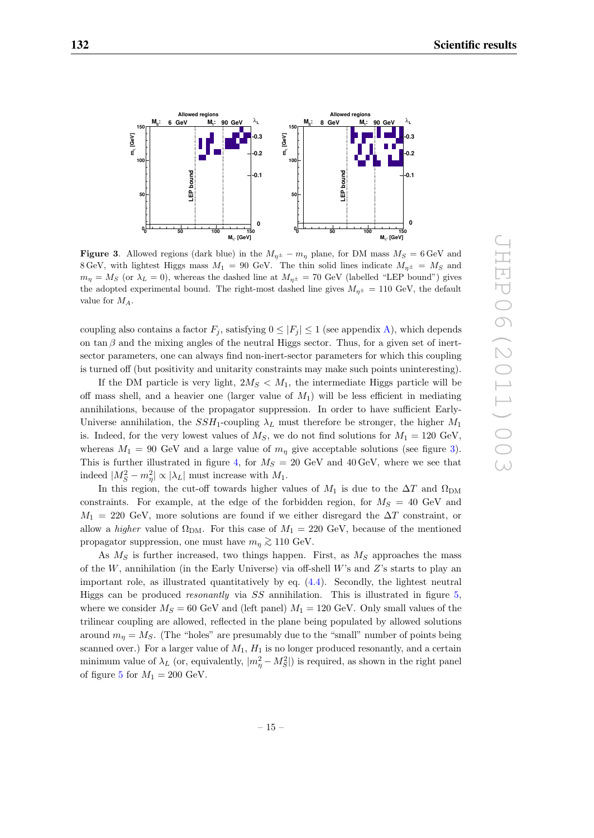

**Figure 3**. Allowed regions (dark blue) in the  $M_{\eta^{\pm}} - m_{\eta}$  plane, for DM mass  $M_S = 6 \text{ GeV}$  and 8 GeV, with lightest Higgs mass  $M_1 = 90$  GeV. The thin solid lines indicate  $M_{\eta^{\pm}} = M_S$  and  $m_{\eta} = M_S$  (or  $\lambda_L = 0$ ), whereas the dashed line at  $M_{\eta^{\pm}} = 70$  GeV (labelled "LEP bound") gives the adopted experimental bound. The right-most dashed line gives  $M_{n^{\pm}} = 110 \text{ GeV}$ , the default value for MA.

coupling also contains a factor  $F_j$ , satisfying  $0 \leq |F_j| \leq 1$  (see appendix A), which depends on tan  $\beta$  and the mixing angles of the neutral Higgs sector. Thus, for a given set of inertsector parameters, one can always find non-inert-sector parameters for which this coupling is turned off (but positivity and unitarity constraints may make such points uninteresting).

If the DM particle is very light,  $2M_S < M_1$ , the intermediate Higgs particle will be off mass shell, and a heavier one (larger value of  $M_1$ ) will be less efficient in mediating annihilations, because of the propagator suppression. In order to have sufficient Early-Universe annihilation, the  $SSH_1$ -coupling  $\lambda_L$  must therefore be stronger, the higher  $M_1$ is. Indeed, for the very lowest values of  $M<sub>S</sub>$ , we do not find solutions for  $M<sub>1</sub> = 120$  GeV, whereas  $M_1 = 90$  GeV and a large value of  $m_n$  give acceptable solutions (see figure 3). This is further illustrated in figure 4, for  $M_S = 20$  GeV and 40 GeV, where we see that indeed  $|M_S^2 - m_\eta^2| \propto |\lambda_L|$  must increase with  $M_1$ .

In this region, the cut-off towards higher values of  $M_1$  is due to the  $\Delta T$  and  $\Omega_{\rm DM}$ constraints. For example, at the edge of the forbidden region, for  $M_S = 40$  GeV and  $M_1 = 220 \text{ GeV}$ , more solutions are found if we either disregard the  $\Delta T$  constraint, or allow a *higher* value of  $\Omega_{DM}$ . For this case of  $M_1 = 220$  GeV, because of the mentioned propagator suppression, one must have  $m_{\eta} \gtrsim 110 \text{ GeV}.$ 

As  $M<sub>S</sub>$  is further increased, two things happen. First, as  $M<sub>S</sub>$  approaches the mass of the W, annihilation (in the Early Universe) via off-shell W's and Z's starts to play an important role, as illustrated quantitatively by eq. (4.4). Secondly, the lightest neutral Higgs can be produced resonantly via SS annihilation. This is illustrated in figure 5, where we consider  $M_S = 60$  GeV and (left panel)  $M_1 = 120$  GeV. Only small values of the trilinear coupling are allowed, reflected in the plane being populated by allowed solutions around  $m_{\eta} = M_S$ . (The "holes" are presumably due to the "small" number of points being scanned over.) For a larger value of  $M_1$ ,  $H_1$  is no longer produced resonantly, and a certain minimum value of  $\lambda_L$  (or, equivalently,  $|m_{\eta}^2 - M_S^2|$ ) is required, as shown in the right panel of figure 5 for  $M_1 = 200$  GeV.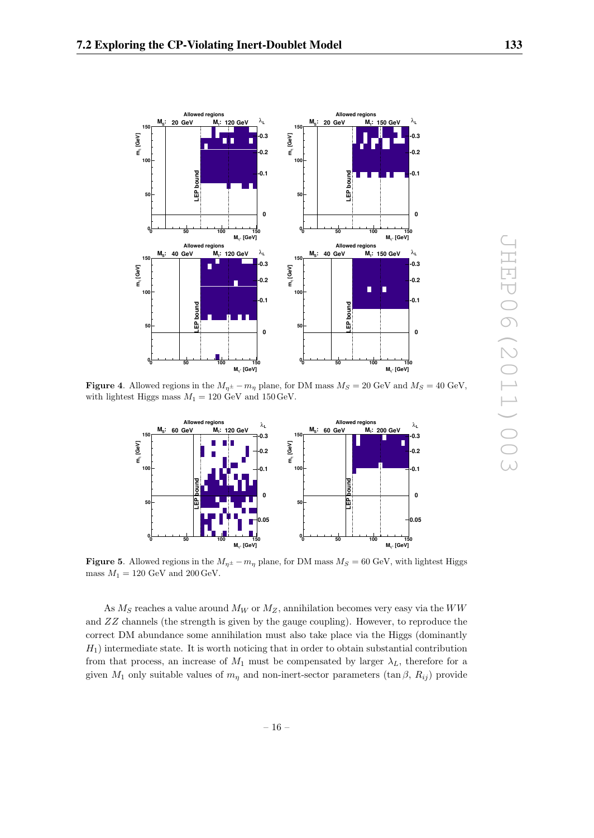

**Figure 4.** Allowed regions in the  $M_{\eta^{\pm}} - m_{\eta}$  plane, for DM mass  $M_S = 20$  GeV and  $M_S = 40$  GeV, with lightest Higgs mass  $M_1 = 120$  GeV and  $150$  GeV.



**Figure 5**. Allowed regions in the  $M_{n^{\pm}} - m_n$  plane, for DM mass  $M_S = 60$  GeV, with lightest Higgs mass  $M_1 = 120$  GeV and  $200$  GeV.

As  $M_S$  reaches a value around  $M_W$  or  $M_Z$ , annihilation becomes very easy via the WW and ZZ channels (the strength is given by the gauge coupling). However, to reproduce the correct DM abundance some annihilation must also take place via the Higgs (dominantly  $H_1$ ) intermediate state. It is worth noticing that in order to obtain substantial contribution from that process, an increase of  $M_1$  must be compensated by larger  $\lambda_L$ , therefore for a given  $M_1$  only suitable values of  $m_n$  and non-inert-sector parameters  $(\tan \beta, R_{ij})$  provide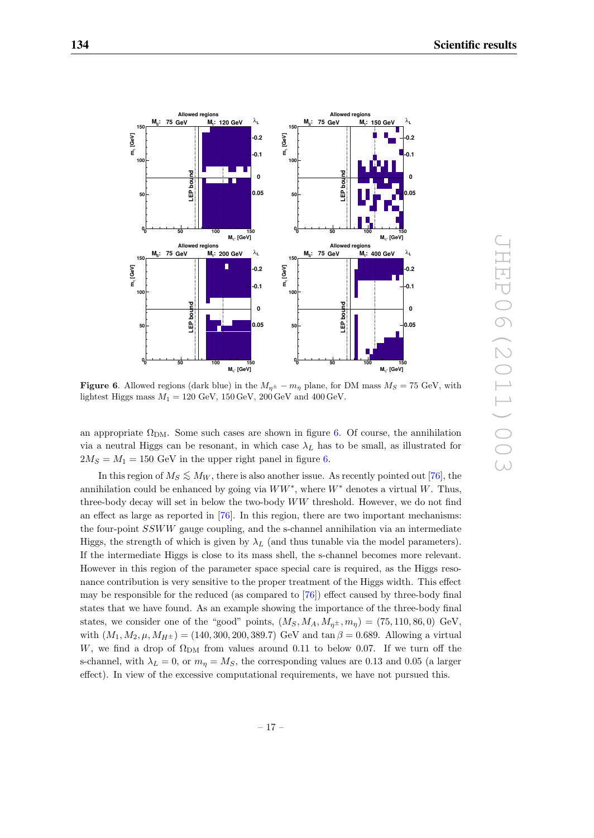

**Figure 6.** Allowed regions (dark blue) in the  $M_{n^{\pm}} - m_{n}$  plane, for DM mass  $M_{S} = 75$  GeV, with lightest Higgs mass  $M_1 = 120 \text{ GeV}$ ,  $150 \text{ GeV}$ ,  $200 \text{ GeV}$  and  $400 \text{ GeV}$ .

an appropriate  $\Omega_{DM}$ . Some such cases are shown in figure 6. Of course, the annihilation via a neutral Higgs can be resonant, in which case  $\lambda_L$  has to be small, as illustrated for  $2M<sub>S</sub> = M<sub>1</sub> = 150$  GeV in the upper right panel in figure 6.

In this region of  $M_S \leq M_W$ , there is also another issue. As recently pointed out [76], the annihilation could be enhanced by going via  $WW^*$ , where  $W^*$  denotes a virtual W. Thus, three-body decay will set in below the two-body WW threshold. However, we do not find an effect as large as reported in [76]. In this region, there are two important mechanisms: the four-point SSWW gauge coupling, and the s-channel annihilation via an intermediate Higgs, the strength of which is given by  $\lambda_L$  (and thus tunable via the model parameters). If the intermediate Higgs is close to its mass shell, the s-channel becomes more relevant. However in this region of the parameter space special care is required, as the Higgs resonance contribution is very sensitive to the proper treatment of the Higgs width. This effect may be responsible for the reduced (as compared to [76]) effect caused by three-body final states that we have found. As an example showing the importance of the three-body final states, we consider one of the "good" points,  $(M_S, M_A, M_{\eta^{\pm}}, m_{\eta}) = (75, 110, 86, 0)$  GeV, with  $(M_1, M_2, \mu, M_{H^{\pm}}) = (140, 300, 200, 389.7)$  GeV and tan  $\beta = 0.689$ . Allowing a virtual W, we find a drop of  $\Omega_{\rm DM}$  from values around 0.11 to below 0.07. If we turn off the s-channel, with  $\lambda_L = 0$ , or  $m_n = M_S$ , the corresponding values are 0.13 and 0.05 (a larger effect). In view of the excessive computational requirements, we have not pursued this.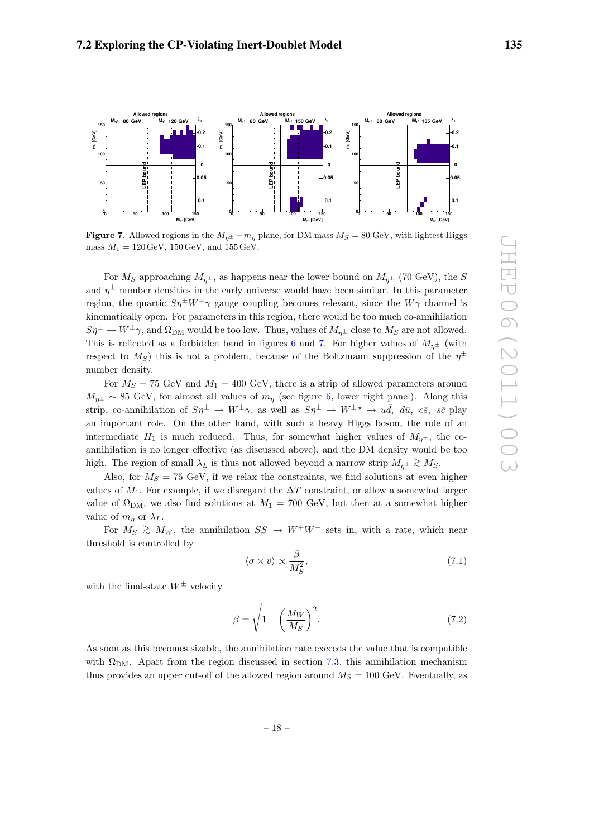

**Figure 7**. Allowed regions in the  $M_{n^{\pm}} - m_{\eta}$  plane, for DM mass  $M_S = 80$  GeV, with lightest Higgs mass  $M_1 = 120 \,\text{GeV}, 150 \,\text{GeV}, \text{and } 155 \,\text{GeV}.$ 

For  $M_S$  approaching  $M_{\eta^{\pm}}$ , as happens near the lower bound on  $M_{\eta^{\pm}}$  (70 GeV), the S and  $\eta^{\pm}$  number densities in the early universe would have been similar. In this parameter region, the quartic  $S\eta^{\pm}W^{\mp}\gamma$  gauge coupling becomes relevant, since the  $W\gamma$  channel is kinematically open. For parameters in this region, there would be too much co-annihilation  $S\eta^{\pm} \to W^{\pm}\gamma$ , and  $\Omega_{\text{DM}}$  would be too low. Thus, values of  $M_{n^{\pm}}$  close to  $M_S$  are not allowed. This is reflected as a forbidden band in figures 6 and 7. For higher values of  $M_{n^{\pm}}$  (with respect to  $M<sub>S</sub>$ ) this is not a problem, because of the Boltzmann suppression of the  $n^{\pm}$ number density.

For  $M_S = 75$  GeV and  $M_1 = 400$  GeV, there is a strip of allowed parameters around  $M_{\eta^{\pm}} \sim 85$  GeV, for almost all values of  $m_{\eta}$  (see figure 6, lower right panel). Along this strip, co-annihilation of  $S\eta^{\pm} \to W^{\pm}\gamma$ , as well as  $S\eta^{\pm} \to W^{\pm}\gamma \to u\bar{d}$ ,  $d\bar{u}$ ,  $c\bar{s}$ ,  $s\bar{c}$  play an important role. On the other hand, with such a heavy Higgs boson, the role of an intermediate  $H_1$  is much reduced. Thus, for somewhat higher values of  $M_{n<sup>\pm</sup>}$ , the coannihilation is no longer effective (as discussed above), and the DM density would be too high. The region of small  $\lambda_L$  is thus not allowed beyond a narrow strip  $M_{\eta^\pm} \gtrsim M_S$ .

Also, for  $M_S = 75$  GeV, if we relax the constraints, we find solutions at even higher values of  $M_1$ . For example, if we disregard the  $\Delta T$  constraint, or allow a somewhat larger value of  $\Omega_{DM}$ , we also find solutions at  $M_1 = 700$  GeV, but then at a somewhat higher value of  $m_n$  or  $\lambda_L$ .

For  $M_S \geq M_W$ , the annihilation  $SS \to W^+W^-$  sets in, with a rate, which near threshold is controlled by

$$
\langle \sigma \times v \rangle \propto \frac{\beta}{M_S^2},\tag{7.1}
$$

with the final-state  $W^{\pm}$  velocity

$$
\beta = \sqrt{1 - \left(\frac{M_W}{M_S}\right)^2}.\tag{7.2}
$$

As soon as this becomes sizable, the annihilation rate exceeds the value that is compatible with  $\Omega_{\text{DM}}$ . Apart from the region discussed in section 7.3, this annihilation mechanism thus provides an upper cut-off of the allowed region around  $M_S = 100$  GeV. Eventually, as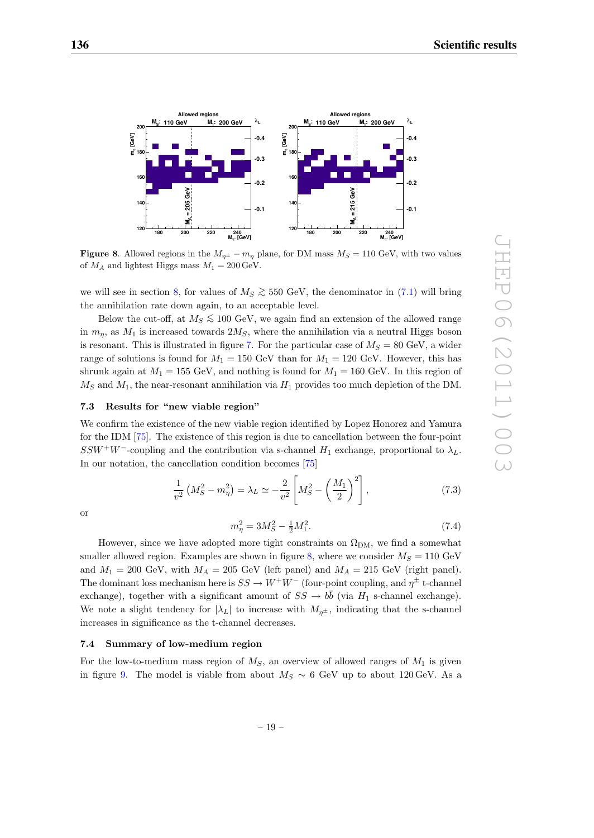

**Figure 8.** Allowed regions in the  $M_{n^{\pm}} - m_n$  plane, for DM mass  $M_S = 110$  GeV, with two values of  $M_A$  and lightest Higgs mass  $M_1 = 200 \,\text{GeV}$ .

we will see in section 8, for values of  $M_S \gtrsim 550$  GeV, the denominator in (7.1) will bring the annihilation rate down again, to an acceptable level.

Below the cut-off, at  $M_S \lesssim 100 \text{ GeV}$ , we again find an extension of the allowed range in  $m_n$ , as  $M_1$  is increased towards  $2M_S$ , where the annihilation via a neutral Higgs boson is resonant. This is illustrated in figure 7. For the particular case of  $M_S = 80$  GeV, a wider range of solutions is found for  $M_1 = 150$  GeV than for  $M_1 = 120$  GeV. However, this has shrunk again at  $M_1 = 155$  GeV, and nothing is found for  $M_1 = 160$  GeV. In this region of  $M<sub>S</sub>$  and  $M<sub>1</sub>$ , the near-resonant annihilation via  $H<sub>1</sub>$  provides too much depletion of the DM.

# **7.3 Results for "new viable region"**

We confirm the existence of the new viable region identified by Lopez Honorez and Yamura for the IDM [75]. The existence of this region is due to cancellation between the four-point SSW<sup>+</sup>W<sup>-</sup>-coupling and the contribution via s-channel  $H_1$  exchange, proportional to  $\lambda_L$ . In our notation, the cancellation condition becomes [75]

$$
\frac{1}{v^2} \left( M_S^2 - m_\eta^2 \right) = \lambda_L \simeq -\frac{2}{v^2} \left[ M_S^2 - \left( \frac{M_1}{2} \right)^2 \right],\tag{7.3}
$$

or

$$
m_{\eta}^{2} = 3M_{S}^{2} - \frac{1}{2}M_{1}^{2}.
$$
\n(7.4)

However, since we have adopted more tight constraints on  $\Omega_{DM}$ , we find a somewhat smaller allowed region. Examples are shown in figure 8, where we consider  $M_S = 110$  GeV and  $M_1 = 200$  GeV, with  $M_A = 205$  GeV (left panel) and  $M_A = 215$  GeV (right panel). The dominant loss mechanism here is  $SS \to W^+W^-$  (four-point coupling, and  $\eta^{\pm}$  t-channel exchange), together with a significant amount of  $SS \to b\bar{b}$  (via  $H_1$  s-channel exchange). We note a slight tendency for  $|\lambda_L|$  to increase with  $M_{n^{\pm}}$ , indicating that the s-channel increases in significance as the t-channel decreases.

# **7.4 Summary of low-medium region**

For the low-to-medium mass region of  $M<sub>S</sub>$ , an overview of allowed ranges of  $M<sub>1</sub>$  is given in figure 9. The model is viable from about  $M_S \sim 6$  GeV up to about 120 GeV. As a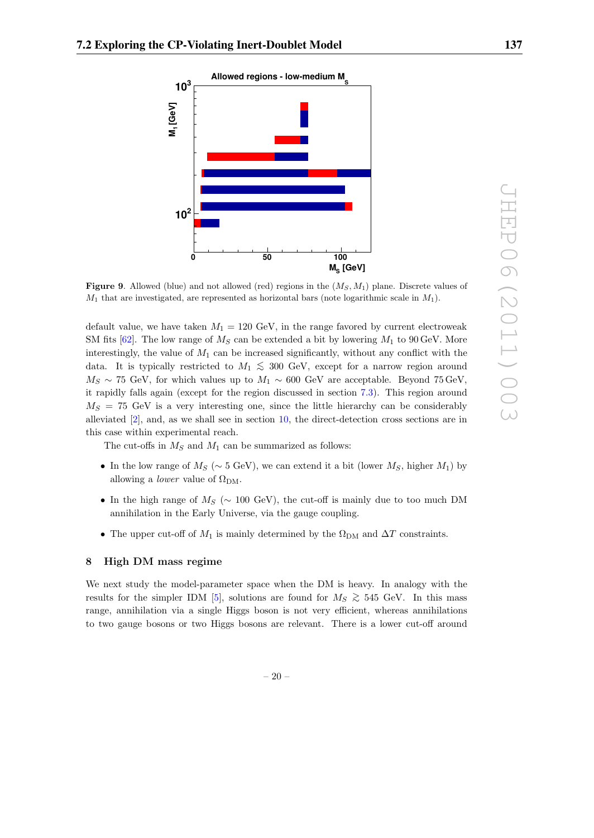

**Figure 9.** Allowed (blue) and not allowed (red) regions in the  $(M<sub>S</sub>, M<sub>1</sub>)$  plane. Discrete values of  $M_1$  that are investigated, are represented as horizontal bars (note logarithmic scale in  $M_1$ ).

default value, we have taken  $M_1 = 120 \text{ GeV}$ , in the range favored by current electroweak SM fits  $[62]$ . The low range of  $M<sub>S</sub>$  can be extended a bit by lowering  $M<sub>1</sub>$  to 90 GeV. More interestingly, the value of  $M_1$  can be increased significantly, without any conflict with the data. It is typically restricted to  $M_1 \lesssim 300$  GeV, except for a narrow region around  $M_S \sim 75$  GeV, for which values up to  $M_1 \sim 600$  GeV are acceptable. Beyond 75 GeV, it rapidly falls again (except for the region discussed in section 7.3). This region around  $M<sub>S</sub> = 75$  GeV is a very interesting one, since the little hierarchy can be considerably alleviated [2], and, as we shall see in section 10, the direct-detection cross sections are in this case within experimental reach.

The cut-offs in  $M_S$  and  $M_1$  can be summarized as follows:

- In the low range of  $M_S$  (∼ 5 GeV), we can extend it a bit (lower  $M_S$ , higher  $M_1$ ) by allowing a *lower* value of  $\Omega_{\text{DM}}$ .
- In the high range of  $M_S$  ( $\sim 100$  GeV), the cut-off is mainly due to too much DM annihilation in the Early Universe, via the gauge coupling.
- The upper cut-off of  $M_1$  is mainly determined by the  $\Omega_{DM}$  and  $\Delta T$  constraints.

# **8 High DM mass regime**

We next study the model-parameter space when the DM is heavy. In analogy with the results for the simpler IDM [5], solutions are found for  $M_S \gtrsim 545$  GeV. In this mass range, annihilation via a single Higgs boson is not very efficient, whereas annihilations to two gauge bosons or two Higgs bosons are relevant. There is a lower cut-off around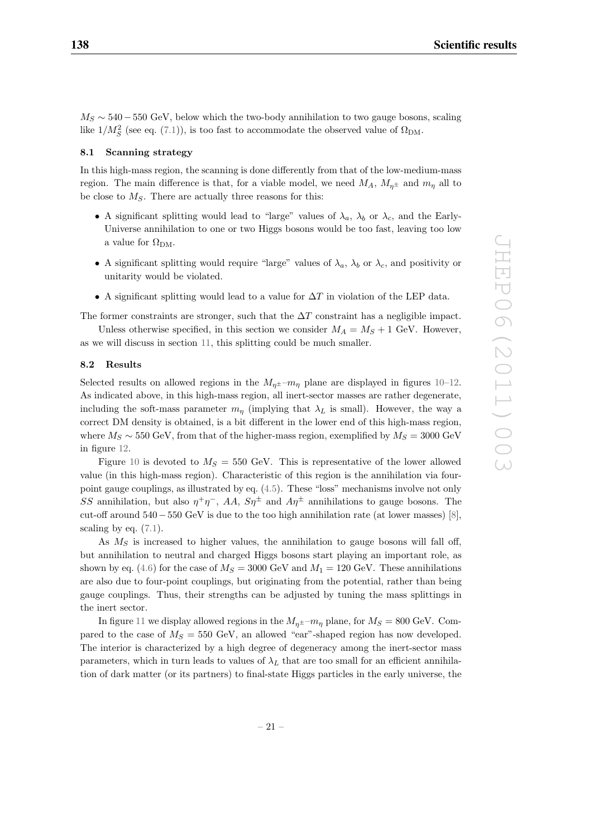$M<sub>S</sub> \sim 540 - 550$  GeV, below which the two-body annihilation to two gauge bosons, scaling like  $1/M_S^2$  (see eq. (7.1)), is too fast to accommodate the observed value of  $\Omega_{\rm DM}$ .

#### **8.1 Scanning strategy**

In this high-mass region, the scanning is done differently from that of the low-medium-mass region. The main difference is that, for a viable model, we need  $M_A$ ,  $M_{n^{\pm}}$  and  $m_n$  all to be close to  $M_S$ . There are actually three reasons for this:

- A significant splitting would lead to "large" values of  $\lambda_a$ ,  $\lambda_b$  or  $\lambda_c$ , and the Early-Universe annihilation to one or two Higgs bosons would be too fast, leaving too low a value for  $\Omega_{\rm DM}$ .
- A significant splitting would require "large" values of  $\lambda_a$ ,  $\lambda_b$  or  $\lambda_c$ , and positivity or unitarity would be violated.
- A significant splitting would lead to a value for  $\Delta T$  in violation of the LEP data.

The former constraints are stronger, such that the  $\Delta T$  constraint has a negligible impact. Unless otherwise specified, in this section we consider  $M_A = M_S + 1$  GeV. However, as we will discuss in section 11, this splitting could be much smaller.

## **8.2 Results**

Selected results on allowed regions in the  $M_{\eta^{\pm}}$ - $m_{\eta}$  plane are displayed in figures 10–12. As indicated above, in this high-mass region, all inert-sector masses are rather degenerate, including the soft-mass parameter  $m_n$  (implying that  $\lambda_L$  is small). However, the way a correct DM density is obtained, is a bit different in the lower end of this high-mass region, where  $M_S \sim 550$  GeV, from that of the higher-mass region, exemplified by  $M_S = 3000$  GeV in figure 12.

Figure 10 is devoted to  $M_S = 550$  GeV. This is representative of the lower allowed value (in this high-mass region). Characteristic of this region is the annihilation via fourpoint gauge couplings, as illustrated by eq. (4.5). These "loss" mechanisms involve not only SS annihilation, but also  $\eta^+\eta^-$ , AA,  $S\eta^{\pm}$  and  $A\eta^{\pm}$  annihilations to gauge bosons. The cut-off around 540−550 GeV is due to the too high annihilation rate (at lower masses) [8], scaling by eq.  $(7.1)$ .

As  $M<sub>S</sub>$  is increased to higher values, the annihilation to gauge bosons will fall off, but annihilation to neutral and charged Higgs bosons start playing an important role, as shown by eq. (4.6) for the case of  $M_S = 3000$  GeV and  $M_1 = 120$  GeV. These annihilations are also due to four-point couplings, but originating from the potential, rather than being gauge couplings. Thus, their strengths can be adjusted by tuning the mass splittings in the inert sector.

In figure 11 we display allowed regions in the  $M_{n^{\pm}}$ - $m_n$  plane, for  $M_S = 800$  GeV. Compared to the case of  $M<sub>S</sub> = 550$  GeV, an allowed "ear"-shaped region has now developed. The interior is characterized by a high degree of degeneracy among the inert-sector mass parameters, which in turn leads to values of  $\lambda_L$  that are too small for an efficient annihilation of dark matter (or its partners) to final-state Higgs particles in the early universe, the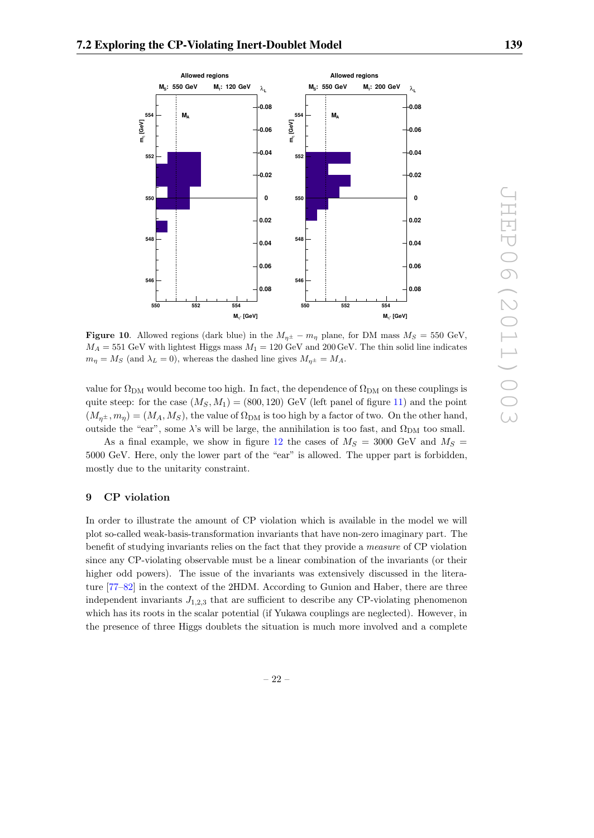

**Figure 10**. Allowed regions (dark blue) in the  $M_{\eta^{\pm}} - m_{\eta}$  plane, for DM mass  $M_S = 550$  GeV,  $M_A = 551$  GeV with lightest Higgs mass  $M_1 = 120$  GeV and 200 GeV. The thin solid line indicates  $m_{\eta} = M_S$  (and  $\lambda_L = 0$ ), whereas the dashed line gives  $M_{\eta^{\pm}} = M_A$ .

value for  $\Omega_{\rm DM}$  would become too high. In fact, the dependence of  $\Omega_{\rm DM}$  on these couplings is quite steep: for the case  $(M_S, M_1) = (800, 120)$  GeV (left panel of figure 11) and the point  $(M_{n^{\pm}}, m_n)=(M_A, M_S)$ , the value of  $\Omega_{\text{DM}}$  is too high by a factor of two. On the other hand, outside the "ear", some  $\lambda$ 's will be large, the annihilation is too fast, and  $\Omega_{\rm DM}$  too small.

As a final example, we show in figure 12 the cases of  $M_S = 3000$  GeV and  $M_S =$ 5000 GeV. Here, only the lower part of the "ear" is allowed. The upper part is forbidden, mostly due to the unitarity constraint.

# **9 CP violation**

In order to illustrate the amount of CP violation which is available in the model we will plot so-called weak-basis-transformation invariants that have non-zero imaginary part. The benefit of studying invariants relies on the fact that they provide a measure of CP violation since any CP-violating observable must be a linear combination of the invariants (or their higher odd powers). The issue of the invariants was extensively discussed in the literature [77–82] in the context of the 2HDM. According to Gunion and Haber, there are three independent invariants  $J_{1,2,3}$  that are sufficient to describe any CP-violating phenomenon which has its roots in the scalar potential (if Yukawa couplings are neglected). However, in the presence of three Higgs doublets the situation is much more involved and a complete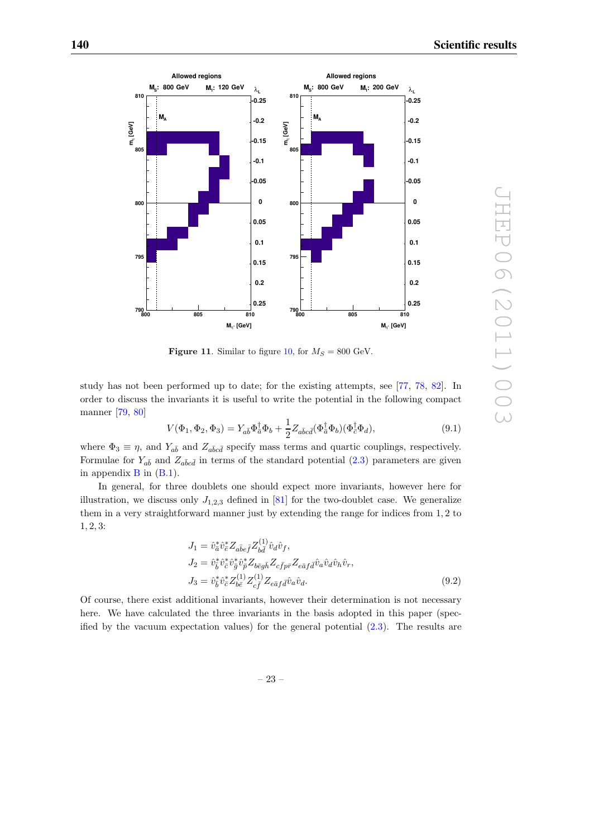

**Figure 11.** Similar to figure 10, for  $M_S = 800$  GeV.

study has not been performed up to date; for the existing attempts, see [77, 78, 82]. In order to discuss the invariants it is useful to write the potential in the following compact manner [79, 80]

$$
V(\Phi_1, \Phi_2, \Phi_3) = Y_{a\bar{b}} \Phi_{\bar{a}}^{\dagger} \Phi_b + \frac{1}{2} Z_{a\bar{b}c\bar{d}} (\Phi_{\bar{a}}^{\dagger} \Phi_b) (\Phi_{\bar{c}}^{\dagger} \Phi_d), \tag{9.1}
$$

where  $\Phi_3 \equiv \eta$ , and  $Y_{a\bar{b}}$  and  $Z_{a\bar{b}c\bar{d}}$  specify mass terms and quartic couplings, respectively. Formulae for  $Y_{a\bar{b}}$  and  $Z_{a\bar{b}c\bar{d}}$  in terms of the standard potential (2.3) parameters are given in appendix  $\bf{B}$  in  $(\bf{B}.1)$ .

In general, for three doublets one should expect more invariants, however here for illustration, we discuss only  $J_{1,2,3}$  defined in [81] for the two-doublet case. We generalize them in a very straightforward manner just by extending the range for indices from 1, 2 to 1, 2, 3:

$$
J_1 = \hat{v}_{\bar{b}}^* \hat{v}_{\bar{e}}^* Z_{a\bar{b}\bar{e}\bar{f}} Z_{b\bar{d}}^{(1)} \hat{v}_{\bar{d}} \hat{v}_{f},
$$
  
\n
$$
J_2 = \hat{v}_{\bar{b}}^* \hat{v}_{\bar{c}}^* \hat{v}_{\bar{b}}^* \hat{v}_{\bar{p}}^* Z_{b\bar{e}g\bar{h}} Z_{c\bar{f}p\bar{r}} Z_{e\bar{a}f\bar{d}} \hat{v}_{a} \hat{v}_{d} \hat{v}_{h} \hat{v}_{r},
$$
  
\n
$$
J_3 = \hat{v}_{\bar{b}}^* \hat{v}_{\bar{c}}^* Z_{b\bar{e}}^{(1)} Z_{c\bar{f}}^{(1)} Z_{e\bar{a}f\bar{d}} \hat{v}_{a} \hat{v}_{d}.
$$
  
\n(9.2)

Of course, there exist additional invariants, however their determination is not necessary here. We have calculated the three invariants in the basis adopted in this paper (specified by the vacuum expectation values) for the general potential  $(2.3)$ . The results are

– 23 –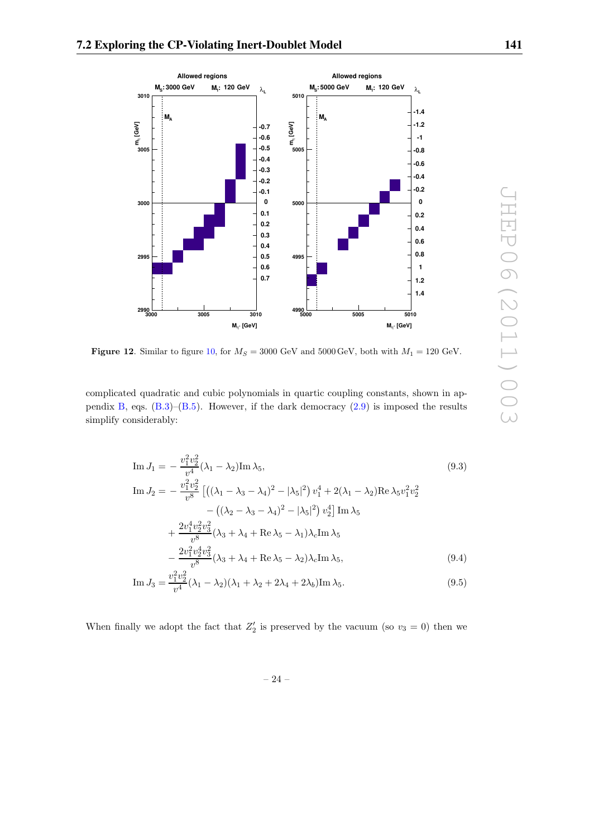

**Figure 12.** Similar to figure 10, for  $M_S = 3000$  GeV and  $5000$  GeV, both with  $M_1 = 120$  GeV.

complicated quadratic and cubic polynomials in quartic coupling constants, shown in appendix B, eqs.  $(B.3)$ – $(B.5)$ . However, if the dark democracy  $(2.9)$  is imposed the results simplify considerably:

Im 
$$
J_1 = -\frac{v_1^2 v_2^2}{v^4} (\lambda_1 - \lambda_2) \text{Im } \lambda_5,
$$
 (9.3)  
\nIm  $J_2 = -\frac{v_1^2 v_2^2}{v^8} \left[ ((\lambda_1 - \lambda_3 - \lambda_4)^2 - |\lambda_5|^2) v_1^4 + 2(\lambda_1 - \lambda_2) \text{Re } \lambda_5 v_1^2 v_2^2 - ((\lambda_2 - \lambda_3 - \lambda_4)^2 - |\lambda_5|^2) v_2^4 \right] \text{Im } \lambda_5 + \frac{2v_1^4 v_2^2 v_3^2}{v^8} (\lambda_3 + \lambda_4 + \text{Re } \lambda_5 - \lambda_1) \lambda_c \text{Im } \lambda_5 - \frac{2v_1^2 v_2^4 v_3^2}{v^8} (\lambda_3 + \lambda_4 + \text{Re } \lambda_5 - \lambda_2) \lambda_c \text{Im } \lambda_5,$  (9.4)

Im 
$$
J_3 = \frac{v_1^2 v_2^2}{v^4} (\lambda_1 - \lambda_2)(\lambda_1 + \lambda_2 + 2\lambda_4 + 2\lambda_6) \text{Im } \lambda_5.
$$
 (9.5)

When finally we adopt the fact that  $Z'_2$  is preserved by the vacuum (so  $v_3 = 0$ ) then we

– 24 –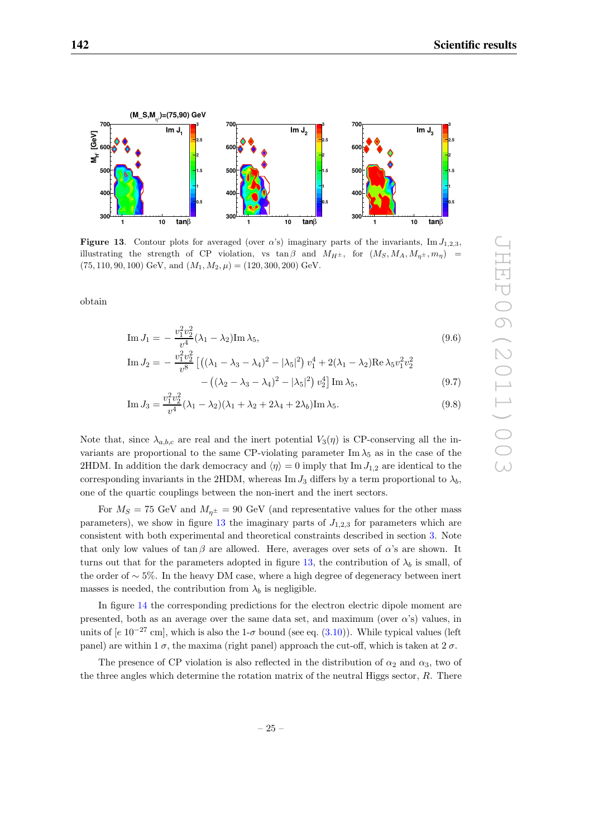

**Figure 13.** Contour plots for averaged (over  $\alpha$ 's) imaginary parts of the invariants, Im  $J_{1,2,3}$ , illustrating the strength of CP violation, vs tan  $\beta$  and  $M_{H^{\pm}}$ , for  $(M_S, M_A, M_{n^{\pm}}, m_n)$  $(75, 110, 90, 100)$  GeV, and  $(M_1, M_2, \mu) = (120, 300, 200)$  GeV.

obtain

Im 
$$
J_1 = -\frac{v_1^2 v_2^2}{v^4} (\lambda_1 - \lambda_2) \text{Im } \lambda_5,
$$
 (9.6)

Im 
$$
J_2 = -\frac{v_1^2 v_2^2}{v^8} \left[ \left( (\lambda_1 - \lambda_3 - \lambda_4)^2 - |\lambda_5|^2 \right) v_1^4 + 2(\lambda_1 - \lambda_2) \text{Re } \lambda_5 v_1^2 v_2^2 - \left( (\lambda_2 - \lambda_3 - \lambda_4)^2 - |\lambda_5|^2 \right) v_2^4 \right] \text{Im } \lambda_5,
$$
 (9.7)

Im 
$$
J_3 = \frac{v_1^2 v_2^2}{v_1^4} (\lambda_1 - \lambda_2)(\lambda_1 + \lambda_2 + 2\lambda_4 + 2\lambda_6) \text{Im } \lambda_5.
$$
 (9.8)

Note that, since  $\lambda_{a,b,c}$  are real and the inert potential  $V_3(\eta)$  is CP-conserving all the invariants are proportional to the same CP-violating parameter Im  $\lambda_5$  as in the case of the 2HDM. In addition the dark democracy and  $\langle \eta \rangle = 0$  imply that Im  $J_{1,2}$  are identical to the corresponding invariants in the 2HDM, whereas Im  $J_3$  differs by a term proportional to  $\lambda_b$ , one of the quartic couplings between the non-inert and the inert sectors.

For  $M_S = 75$  GeV and  $M_{n^{\pm}} = 90$  GeV (and representative values for the other mass parameters), we show in figure 13 the imaginary parts of  $J_{1,2,3}$  for parameters which are consistent with both experimental and theoretical constraints described in section 3. Note that only low values of  $\tan \beta$  are allowed. Here, averages over sets of  $\alpha$ 's are shown. It turns out that for the parameters adopted in figure 13, the contribution of  $\lambda_b$  is small, of the order of ∼ 5%. In the heavy DM case, where a high degree of degeneracy between inert masses is needed, the contribution from  $\lambda_b$  is negligible.

In figure 14 the corresponding predictions for the electron electric dipole moment are presented, both as an average over the same data set, and maximum (over  $\alpha$ 's) values, in units of [e 10<sup>-27</sup> cm], which is also the 1- $\sigma$  bound (see eq. (3.10)). While typical values (left panel) are within 1  $\sigma$ , the maxima (right panel) approach the cut-off, which is taken at 2  $\sigma$ .

The presence of CP violation is also reflected in the distribution of  $\alpha_2$  and  $\alpha_3$ , two of the three angles which determine the rotation matrix of the neutral Higgs sector,  $R$ . There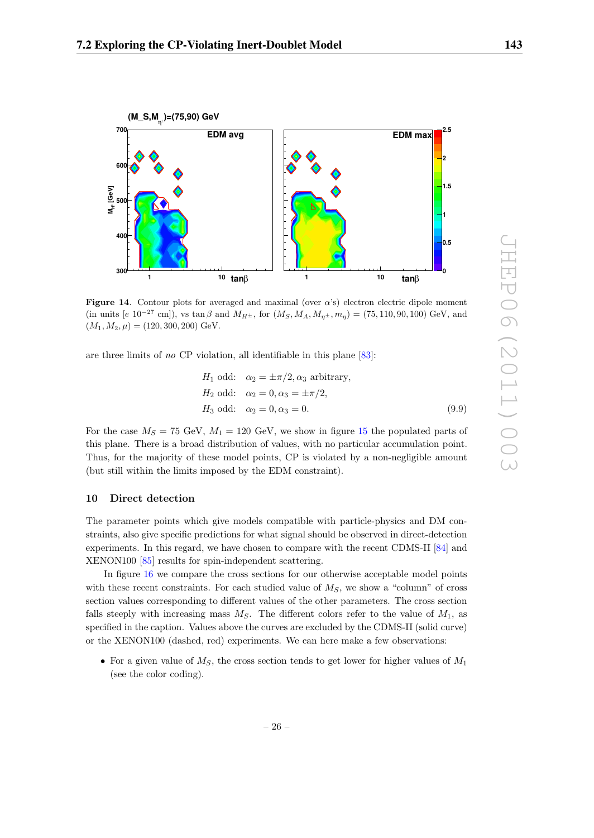



**Figure 14.** Contour plots for averaged and maximal (over  $\alpha$ 's) electron electric dipole moment (in units [e  $10^{-27}$  cm]), vs tan  $\beta$  and  $M_{H^{\pm}}$ , for  $(M_S, M_A, M_{\eta^{\pm}}, m_{\eta}) = (75, 110, 90, 100)$  GeV, and  $(M_1, M_2, \mu) = (120, 300, 200)$  GeV.

are three limits of no CP violation, all identifiable in this plane [83]:

$$
H_1 \text{ odd:} \quad \alpha_2 = \pm \pi/2, \alpha_3 \text{ arbitrary},
$$
  
\n
$$
H_2 \text{ odd:} \quad \alpha_2 = 0, \alpha_3 = \pm \pi/2,
$$
  
\n
$$
H_3 \text{ odd:} \quad \alpha_2 = 0, \alpha_3 = 0.
$$
  
\n(9.9)

For the case  $M_S = 75$  GeV,  $M_1 = 120$  GeV, we show in figure 15 the populated parts of this plane. There is a broad distribution of values, with no particular accumulation point. Thus, for the majority of these model points, CP is violated by a non-negligible amount (but still within the limits imposed by the EDM constraint).

#### **10 Direct detection**

The parameter points which give models compatible with particle-physics and DM constraints, also give specific predictions for what signal should be observed in direct-detection experiments. In this regard, we have chosen to compare with the recent CDMS-II [84] and XENON100 [85] results for spin-independent scattering.

In figure 16 we compare the cross sections for our otherwise acceptable model points with these recent constraints. For each studied value of  $M<sub>S</sub>$ , we show a "column" of cross section values corresponding to different values of the other parameters. The cross section falls steeply with increasing mass  $M_S$ . The different colors refer to the value of  $M_1$ , as specified in the caption. Values above the curves are excluded by the CDMS-II (solid curve) or the XENON100 (dashed, red) experiments. We can here make a few observations:

• For a given value of  $M<sub>S</sub>$ , the cross section tends to get lower for higher values of  $M<sub>1</sub>$ (see the color coding).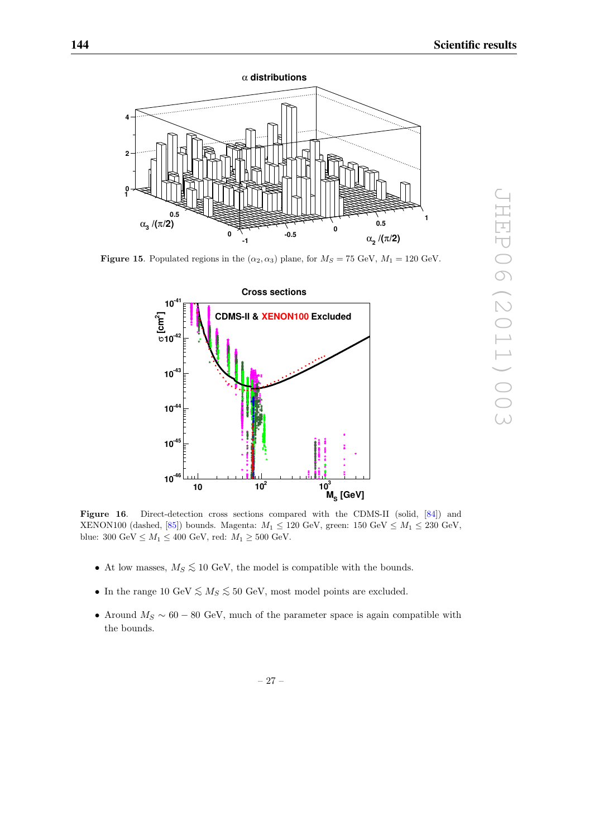

**Figure 15**. Populated regions in the  $(\alpha_2, \alpha_3)$  plane, for  $M_S = 75$  GeV,  $M_1 = 120$  GeV.



Figure 16. Direct-detection cross sections compared with the CDMS-II (solid, [84]) and XENON100 (dashed, [85]) bounds. Magenta:  $M_1 \le 120$  GeV, green: 150 GeV  $\le M_1 \le 230$  GeV, blue: 300 $\mathrm{GeV} \leq M_1 \leq 400$  GeV, red:  $M_1 \geq 500$  GeV.

- At low masses,  $M_S \lesssim 10$  GeV, the model is compatible with the bounds.
- In the range 10 GeV  $\leq M_S \leq 50$  GeV, most model points are excluded.
- Around  $M_S \sim 60 80$  GeV, much of the parameter space is again compatible with the bounds.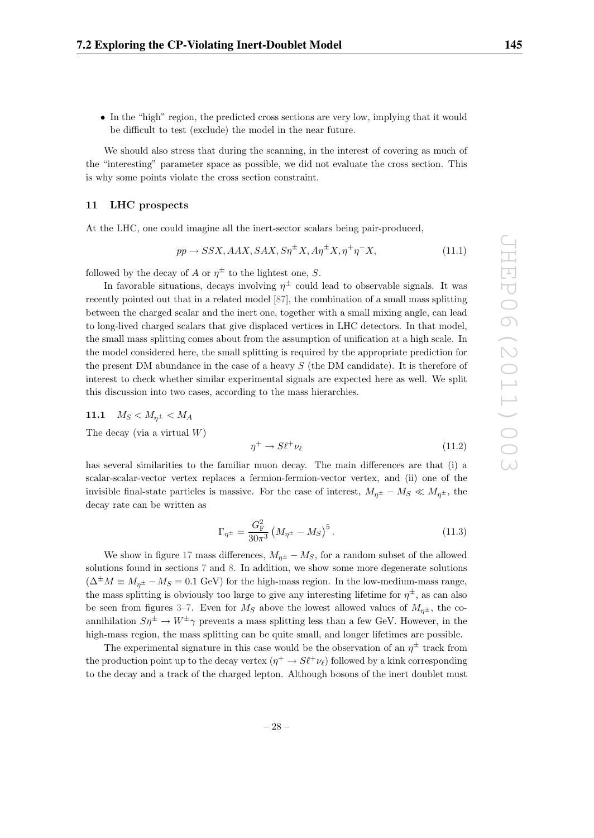• In the "high" region, the predicted cross sections are very low, implying that it would be difficult to test (exclude) the model in the near future.

We should also stress that during the scanning, in the interest of covering as much of the "interesting" parameter space as possible, we did not evaluate the cross section. This is why some points violate the cross section constraint.

#### **11 LHC prospects**

At the LHC, one could imagine all the inert-sector scalars being pair-produced,

$$
pp \to SSX, AAX, SAX, S\eta^{\pm}X, A\eta^{\pm}X, \eta^{\pm}\eta^{-}X,\tag{11.1}
$$

followed by the decay of A or  $\eta^{\pm}$  to the lightest one, S.

In favorable situations, decays involving  $\eta^{\pm}$  could lead to observable signals. It was recently pointed out that in a related model [87], the combination of a small mass splitting between the charged scalar and the inert one, together with a small mixing angle, can lead to long-lived charged scalars that give displaced vertices in LHC detectors. In that model, the small mass splitting comes about from the assumption of unification at a high scale. In the model considered here, the small splitting is required by the appropriate prediction for the present DM abundance in the case of a heavy  $S$  (the DM candidate). It is therefore of interest to check whether similar experimental signals are expected here as well. We split this discussion into two cases, according to the mass hierarchies.

$$
11.1 \quad M_S < M_{\eta^\pm} < M_A
$$

The decay (via a virtual  $W$ )

$$
\eta^+ \to S \ell^+ \nu_\ell \tag{11.2}
$$

has several similarities to the familiar muon decay. The main differences are that (i) a scalar-scalar-vector vertex replaces a fermion-fermion-vector vertex, and (ii) one of the invisible final-state particles is massive. For the case of interest,  $M_{\eta^{\pm}} - M_S \ll M_{\eta^{\pm}}$ , the decay rate can be written as

$$
\Gamma_{\eta^{\pm}} = \frac{G_{\rm F}^2}{30\pi^3} \left(M_{\eta^{\pm}} - M_S\right)^5. \tag{11.3}
$$

We show in figure 17 mass differences,  $M_{n^{\pm}} - M_S$ , for a random subset of the allowed solutions found in sections 7 and 8. In addition, we show some more degenerate solutions  $(\Delta^{\pm}M \equiv M_{n^{\pm}} - M_{S} = 0.1$  GeV) for the high-mass region. In the low-medium-mass range, the mass splitting is obviously too large to give any interesting lifetime for  $\eta^{\pm}$ , as can also be seen from figures 3–7. Even for  $M_S$  above the lowest allowed values of  $M_{n^{\pm}}$ , the coannihilation  $S\eta^{\pm} \to W^{\pm} \gamma$  prevents a mass splitting less than a few GeV. However, in the high-mass region, the mass splitting can be quite small, and longer lifetimes are possible.

The experimental signature in this case would be the observation of an  $\eta^{\pm}$  track from the production point up to the decay vertex  $(\eta^+ \to S \ell^+ \nu_{\ell})$  followed by a kink corresponding to the decay and a track of the charged lepton. Although bosons of the inert doublet must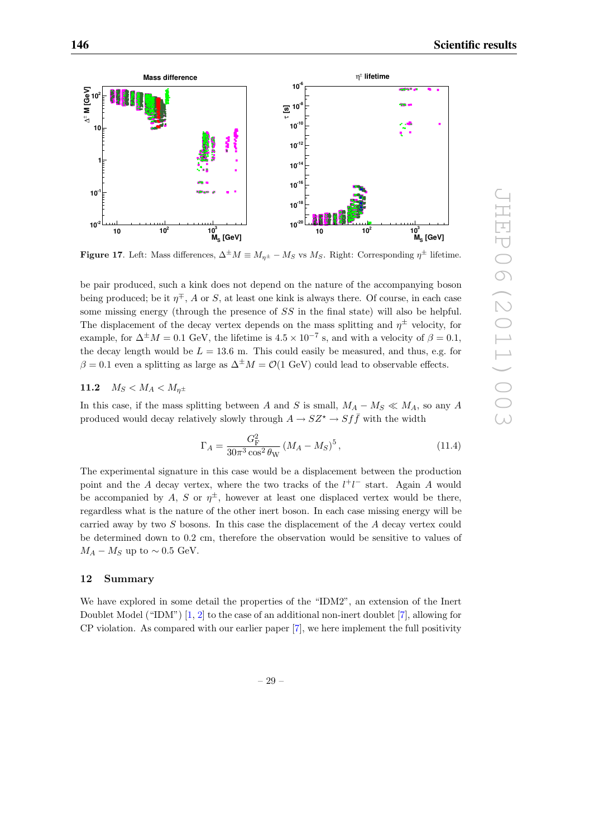

**Figure 17**. Left: Mass differences,  $\Delta^{\pm}M \equiv M_{n^{\pm}} - M_S$  vs  $M_S$ . Right: Corresponding  $\eta^{\pm}$  lifetime.

be pair produced, such a kink does not depend on the nature of the accompanying boson being produced; be it  $\eta^{\mp}$ , A or S, at least one kink is always there. Of course, in each case some missing energy (through the presence of SS in the final state) will also be helpful. The displacement of the decay vertex depends on the mass splitting and  $\eta^{\pm}$  velocity, for example, for  $\Delta^{\pm}M = 0.1$  GeV, the lifetime is  $4.5 \times 10^{-7}$  s, and with a velocity of  $\beta = 0.1$ , the decay length would be  $L = 13.6$  m. This could easily be measured, and thus, e.g. for  $\beta = 0.1$  even a splitting as large as  $\Delta^{\pm}M = \mathcal{O}(1 \text{ GeV})$  could lead to observable effects.

# **11.2**  $M_S < M_A < M_{n^{\pm}}$

In this case, if the mass splitting between A and S is small,  $M_A - M_S \ll M_A$ , so any A produced would decay relatively slowly through  $A \to SZ^* \to S f \bar{f}$  with the width

$$
\Gamma_A = \frac{G_{\rm F}^2}{30\pi^3 \cos^2 \theta_{\rm W}} \left(M_A - M_S\right)^5, \tag{11.4}
$$

The experimental signature in this case would be a displacement between the production point and the A decay vertex, where the two tracks of the  $l^+l^-$  start. Again A would be accompanied by A, S or  $\eta^{\pm}$ , however at least one displaced vertex would be there, regardless what is the nature of the other inert boson. In each case missing energy will be carried away by two S bosons. In this case the displacement of the A decay vertex could be determined down to 0.2 cm, therefore the observation would be sensitive to values of  $M_A - M_S$  up to ~ 0.5 GeV.

# **12 Summary**

We have explored in some detail the properties of the "IDM2", an extension of the Inert Doublet Model ("IDM") [1, 2] to the case of an additional non-inert doublet [7], allowing for CP violation. As compared with our earlier paper [7], we here implement the full positivity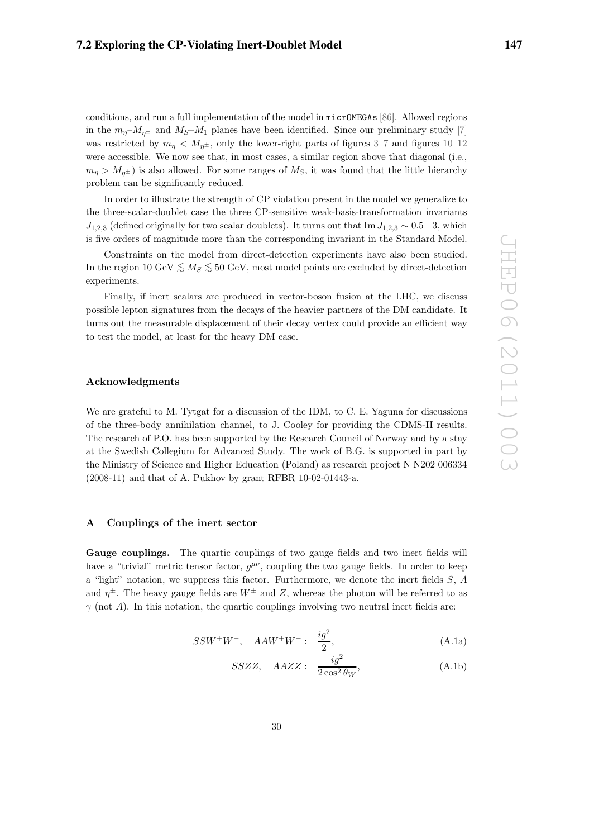conditions, and run a full implementation of the model in micrOMEGAs [86]. Allowed regions in the  $m_p-M_{n\pm}$  and  $M_S-M_1$  planes have been identified. Since our preliminary study [7] was restricted by  $m_n < M_{n^{\pm}}$ , only the lower-right parts of figures 3–7 and figures 10–12 were accessible. We now see that, in most cases, a similar region above that diagonal (i.e.,  $m_n > M_{n^{\pm}}$  is also allowed. For some ranges of  $M_S$ , it was found that the little hierarchy problem can be significantly reduced.

In order to illustrate the strength of CP violation present in the model we generalize to the three-scalar-doublet case the three CP-sensitive weak-basis-transformation invariants  $J_{1,2,3}$  (defined originally for two scalar doublets). It turns out that Im  $J_{1,2,3} \sim 0.5-3$ , which is five orders of magnitude more than the corresponding invariant in the Standard Model.

Constraints on the model from direct-detection experiments have also been studied. In the region 10 GeV  $\leq M_S \leq 50$  GeV, most model points are excluded by direct-detection experiments.

Finally, if inert scalars are produced in vector-boson fusion at the LHC, we discuss possible lepton signatures from the decays of the heavier partners of the DM candidate. It turns out the measurable displacement of their decay vertex could provide an efficient way to test the model, at least for the heavy DM case.

#### **Acknowledgments**

We are grateful to M. Tytgat for a discussion of the IDM, to C. E. Yaguna for discussions of the three-body annihilation channel, to J. Cooley for providing the CDMS-II results. The research of P.O. has been supported by the Research Council of Norway and by a stay at the Swedish Collegium for Advanced Study. The work of B.G. is supported in part by the Ministry of Science and Higher Education (Poland) as research project N N202 006334 (2008-11) and that of A. Pukhov by grant RFBR 10-02-01443-a.

# **A Couplings of the inert sector**

**Gauge couplings.** The quartic couplings of two gauge fields and two inert fields will have a "trivial" metric tensor factor,  $g^{\mu\nu}$ , coupling the two gauge fields. In order to keep a "light" notation, we suppress this factor. Furthermore, we denote the inert fields  $S$ ,  $A$ and  $\eta^{\pm}$ . The heavy gauge fields are  $W^{\pm}$  and Z, whereas the photon will be referred to as  $\gamma$  (not A). In this notation, the quartic couplings involving two neutral inert fields are:

$$
SSW^{+}W^{-}, \quad AAW^{+}W^{-}: \quad \frac{ig^{2}}{2}, \tag{A.1a}
$$

$$
SSZZ, \quad AAZZ: \quad \frac{ig^2}{2\cos^2\theta_W}, \tag{A.1b}
$$

– 30 –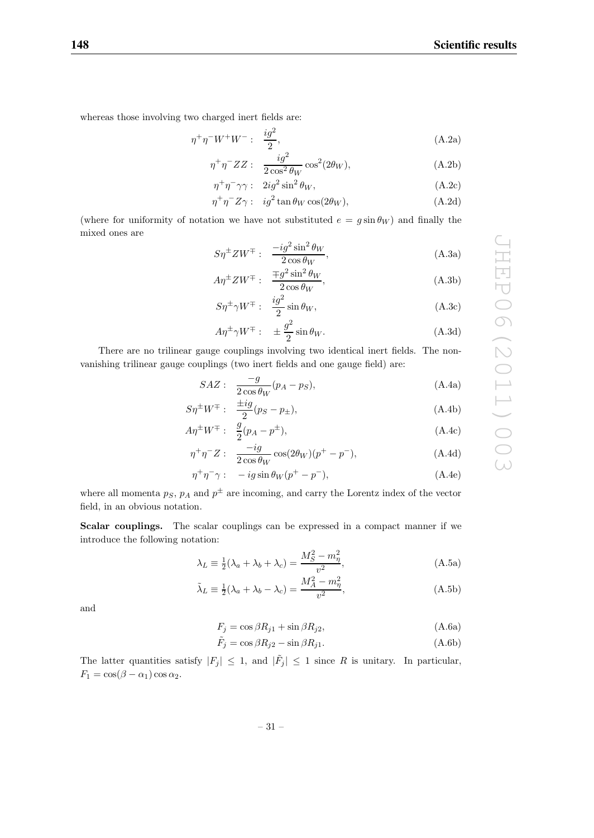whereas those involving two charged inert fields are:

$$
\eta^+ \eta^- W^+ W^- : \quad \frac{ig^2}{2}, \tag{A.2a}
$$

$$
\eta^+ \eta^- ZZ: \quad \frac{ig^2}{2\cos^2 \theta_W} \cos^2(2\theta_W),\tag{A.2b}
$$

$$
\eta^+ \eta^- \gamma \gamma: \quad 2ig^2 \sin^2 \theta_W, \tag{A.2c}
$$

$$
\eta^+ \eta^- Z \gamma: \quad ig^2 \tan \theta_W \cos(2\theta_W), \tag{A.2d}
$$

(where for uniformity of notation we have not substituted  $e = g \sin \theta_W$ ) and finally the mixed ones are

$$
S\eta^{\pm}ZW^{\mp}:\quad \frac{-ig^2\sin^2\theta_W}{2\cos\theta_W},\tag{A.3a}
$$

$$
A\eta^{\pm}ZW^{\mp}:\quad \frac{\mp g^2\sin^2\theta_W}{2\cos\theta_W},\tag{A.3b}
$$

$$
S\eta^{\pm}\gamma W^{\mp}:\ \frac{ig^2}{2}\sin\theta_W,\tag{A.3c}
$$

$$
A\eta^{\pm}\gamma W^{\mp} : \quad \pm \frac{g^2}{2}\sin\theta_W. \tag{A.3d}
$$

There are no trilinear gauge couplings involving two identical inert fields. The nonvanishing trilinear gauge couplings (two inert fields and one gauge field) are:

$$
SAZ: \quad \frac{-g}{2\cos\theta_W}(p_A - p_S),\tag{A.4a}
$$

$$
S\eta^{\pm}W^{\mp}:\quad \frac{\pm ig}{2}(p_S - p_{\pm}),\tag{A.4b}
$$

$$
A\eta^{\pm}W^{\mp}:\quad \frac{g}{2}(p_A - p^{\pm}),\tag{A.4c}
$$

$$
\eta^+ \eta^- Z: \quad \frac{-ig}{2\cos\theta_W} \cos(2\theta_W)(p^+ - p^-),\tag{A.4d}
$$

$$
\eta^+ \eta^- \gamma: \quad -ig\sin\theta_W (p^+ - p^-), \tag{A.4e}
$$

where all momenta  $p_S$ ,  $p_A$  and  $p^{\pm}$  are incoming, and carry the Lorentz index of the vector field, in an obvious notation.

**Scalar couplings.** The scalar couplings can be expressed in a compact manner if we introduce the following notation:

$$
\lambda_L \equiv \frac{1}{2}(\lambda_a + \lambda_b + \lambda_c) = \frac{M_S^2 - m_\eta^2}{v^2},\tag{A.5a}
$$

$$
\tilde{\lambda}_L \equiv \frac{1}{2} (\lambda_a + \lambda_b - \lambda_c) = \frac{M_A^2 - m_\eta^2}{v^2},
$$
\n(A.5b)

and

$$
F_j = \cos \beta R_{j1} + \sin \beta R_{j2},\tag{A.6a}
$$

$$
\tilde{F}_j = \cos \beta R_{j2} - \sin \beta R_{j1}.
$$
\n(A.6b)

The latter quantities satisfy  $|F_j| \leq 1$ , and  $|\tilde{F}_j| \leq 1$  since R is unitary. In particular,  $F_1 = \cos(\beta - \alpha_1) \cos \alpha_2.$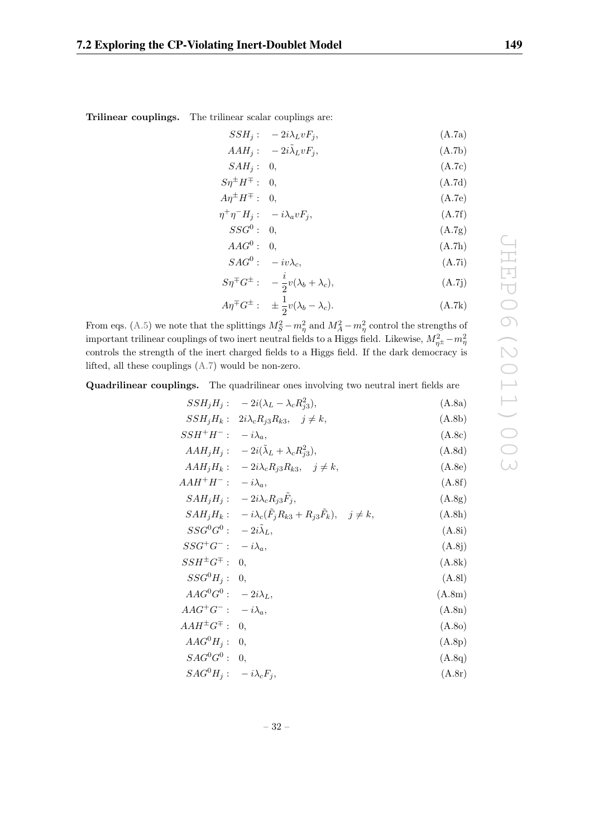| 7.2 Exploring the CP-Violating Inert-Doublet Model | 149 |
|----------------------------------------------------|-----|
|----------------------------------------------------|-----|

**Trilinear couplings.** The trilinear scalar couplings are:

$$
SSH_j: -2i\lambda_L vF_j,
$$
  
\n
$$
AAH_j: -2i\tilde{\lambda}_L vF_j,
$$
  
\n(A.7a)  
\n(A.7b)

$$
SAH_j: \quad 0, \tag{A.7c}
$$

$$
S\eta^{\pm}H^{\mp}:\quad 0,\tag{A.7d}
$$

$$
A\eta^{\pm}H^{\mp}:\quad 0,\tag{A.7e}
$$

$$
\eta^+ \eta^- H_j: \quad -i\lambda_a v F_j,\tag{A.7f}
$$

$$
SSG^0: 0, \t\t (A.7g)
$$

$$
AAG^0: 0, \t(A.7h)
$$

$$
SAG^0: -iv\lambda_c, \tag{A.7i}
$$

$$
S\eta^{\pm}G^{\pm} : -\frac{i}{2}v(\lambda_b + \lambda_c), \tag{A.7j}
$$

$$
A\eta^{\mp}G^{\pm}:\quad \pm\frac{1}{2}v(\lambda_b-\lambda_c). \tag{A.7k}
$$

From eqs. (A.5) we note that the splittings  $M_S^2 - m_\eta^2$  and  $M_A^2 - m_\eta^2$  control the strengths of important trilinear couplings of two inert neutral fields to a Higgs field. Likewise,  $M_{\eta^{\pm}}^2 - m_{\eta}^2$ controls the strength of the inert charged fields to a Higgs field. If the dark democracy is lifted, all these couplings (A.7) would be non-zero.

**Quadrilinear couplings.** The quadrilinear ones involving two neutral inert fields are

$$
SSH_jH_j: -2i(\lambda_L - \lambda_c R_{j3}^2), \qquad (A.8a)
$$
  
\n
$$
SSH_jH_k: 2i\lambda_c R_{j3}R_{k3}, j \neq k, \qquad (A.8b)
$$
  
\n
$$
SSH^+H^-: -i\lambda_a, \qquad (A.8c)
$$
  
\n
$$
AAH_jH_j: -2i(\tilde{\lambda}_L + \lambda_c R_{j3}^2), \qquad (A.8d)
$$
  
\n
$$
AAH^+H^-: -i\lambda_a, \qquad (A.8e)
$$
  
\n
$$
AAH^+H^-: -i\lambda_a, \qquad (A.8f)
$$
  
\n
$$
SAH_jH_j: -2i\lambda_c R_{j3}F_j, \qquad (A.8g)
$$
  
\n
$$
SAH_jH_k: -i\lambda_c(\tilde{F}_jR_{k3} + R_{j3}\tilde{F}_k), j \neq k, \qquad (A.8h)
$$
  
\n
$$
SSG^0G^0: -2i\tilde{\lambda}_L, \qquad (A.8i)
$$
  
\n
$$
SSH^{\pm}G^{\mp}: 0, \qquad (A.8k)
$$
  
\n
$$
SSG^0H_j: 0, \qquad (A.8l)
$$
  
\n
$$
AAG^4G^-: -i\lambda_a, \qquad (A.8m)
$$
  
\n
$$
AAG^4G^T: -i\lambda_a, \qquad (A.8m)
$$
  
\n
$$
AAG^4H_j: 0, \qquad (A.8n)
$$
  
\n
$$
AAG^0H_j: 0, \qquad (A.8p)
$$
  
\n
$$
SAG^0G^0: 0, \qquad (A.8q)
$$
  
\n
$$
SAG^0H_j: -i\lambda_cF_j, \qquad (A.8r)
$$

– 32 –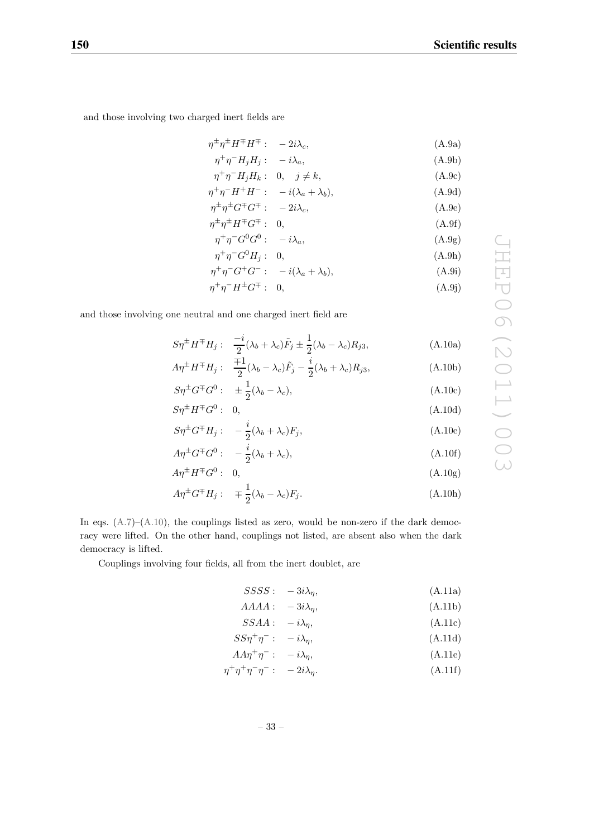and those involving two charged inert fields are

$$
\eta^{\pm} \eta^{\pm} H^{\mp} H^{\mp} : -2i\lambda_c, \tag{A.9a}
$$

$$
\eta^+ \eta^- H_j H_j: -i \lambda_a,
$$
\n
$$
\eta^+ \eta^- H_i H_k: 0, \quad j \neq k.
$$
\n(A.9b)

$$
\eta^+ \eta^- H^+ H^- : -i(\lambda_a + \lambda_b), \tag{A.9d}
$$

$$
\eta^{\pm}\eta^{\pm}G^{\mp}G^{\mp}:\quad -2i\lambda_c,\tag{A.9e}
$$

$$
\eta^{\pm}\eta^{\pm}H^{\mp}G^{\mp}:\quad 0,\tag{A.9f}
$$

$$
\eta^+ \eta^- G^0 G^0: -i\lambda_a,
$$
\n
$$
\eta^+ \eta^- G^0 H. \quad 0.
$$
\n(A.9a)\n
$$
(A.9b)
$$

$$
\eta^+ \eta^- G^+ G^- : -i(\lambda_a + \lambda_b), \tag{A.9i}
$$

$$
\eta^+ \eta^- H^\pm G^\mp : 0,\tag{A.9j}
$$

and those involving one neutral and one charged inert field are

$$
S\eta^{\pm}H^{\mp}H_j: \quad \frac{-i}{2}(\lambda_b + \lambda_c)\tilde{F}_j \pm \frac{1}{2}(\lambda_b - \lambda_c)R_{j3},\tag{A.10a}
$$

$$
A\eta^{\pm}H^{\mp}H_j: \quad \frac{\mp 1}{2}(\lambda_b - \lambda_c)\tilde{F}_j - \frac{i}{2}(\lambda_b + \lambda_c)R_{j3},\tag{A.10b}
$$

$$
S\eta^{\pm}G^{\mp}G^{0}:\quad \pm\frac{1}{2}(\lambda_{b}-\lambda_{c}),\tag{A.10c}
$$

$$
S\eta^{\pm}H^{\mp}G^0: 0,
$$
\n
$$
(A.10d)
$$

$$
S\eta^{\pm}G^{\mp}H_j: \quad -\frac{i}{2}(\lambda_b+\lambda_c)F_j,\tag{A.10e}
$$

$$
A\eta^{\pm}G^{\mp}G^{0}:\quad -\frac{i}{2}(\lambda_{b}+\lambda_{c}),\tag{A.10f}
$$

$$
A\eta^{\pm}H^{\mp}G^0: \quad 0,\tag{A.10g}
$$

$$
A\eta^{\pm}G^{\mp}H_j: \quad \pm \frac{1}{2}(\lambda_b - \lambda_c)F_j. \tag{A.10h}
$$

In eqs.  $(A.7)$ – $(A.10)$ , the couplings listed as zero, would be non-zero if the dark democracy were lifted. On the other hand, couplings not listed, are absent also when the dark democracy is lifted.

Couplings involving four fields, all from the inert doublet, are

$$
SSSS: -3i\lambda_{\eta}, \tag{A.11a}
$$

$$
AAAA: \quad -3i\lambda_{\eta}, \tag{A.11b}
$$
\n
$$
SSA A: \quad -i\lambda \tag{A.11c}
$$

$$
SSA A : -i \lambda_{\eta}, \tag{A.11C}
$$
\n
$$
SS\eta^+\eta^-: -i \lambda_{\eta}, \tag{A.11d}
$$

$$
A A \eta^+ \eta^- : -i \lambda_\eta, \tag{A.11e}
$$

$$
\eta^+ \eta^+ \eta^- \eta^- \colon -2i\lambda_\eta. \tag{A.11f}
$$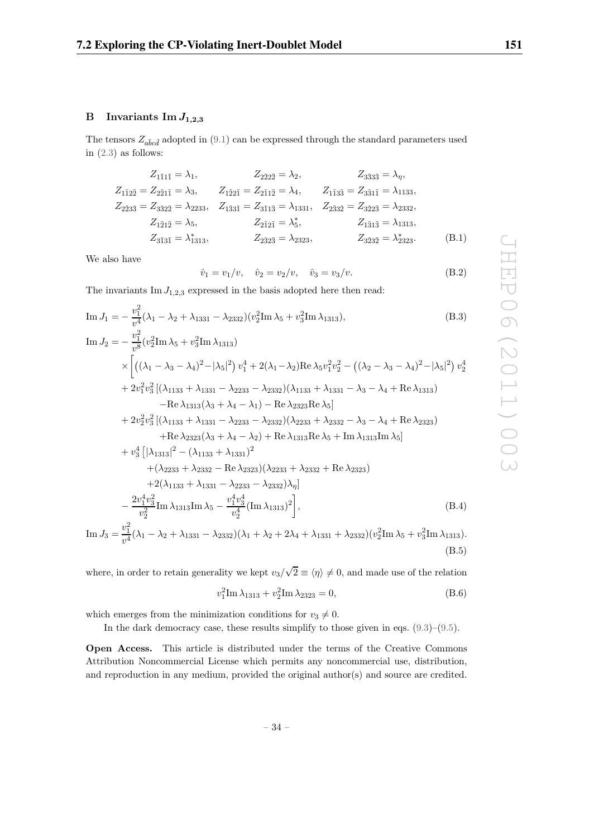# **B** Invariants  $\text{Im } J_{1,2,3}$

The tensors  $Z_{a\bar{b}c\bar{d}}$  adopted in (9.1) can be expressed through the standard parameters used in (2.3) as follows:

$$
Z_{1\bar{1}1\bar{2}} = \lambda_1, \t Z_{2\bar{2}2\bar{2}} = \lambda_2, \t Z_{3\bar{3}3\bar{3}} = \lambda_\eta,
$$
  
\n
$$
Z_{1\bar{1}2\bar{2}} = Z_{2\bar{2}1\bar{1}} = \lambda_3, \t Z_{1\bar{2}2\bar{1}} = Z_{2\bar{1}1\bar{2}} = \lambda_4, \t Z_{1\bar{1}3\bar{3}} = Z_{3\bar{3}1\bar{1}} = \lambda_{1133},
$$
  
\n
$$
Z_{2\bar{3}3\bar{3}} = Z_{3\bar{3}2\bar{2}} = \lambda_{2233}, \t Z_{1\bar{3}3\bar{1}} = Z_{3\bar{1}1\bar{3}} = \lambda_{1331}, \t Z_{2\bar{3}3\bar{2}} = Z_{3\bar{2}2\bar{3}} = \lambda_{2332},
$$
  
\n
$$
Z_{1\bar{2}1\bar{2}} = \lambda_5, \t Z_{2\bar{1}2\bar{1}} = \lambda_5^*, \t Z_{1\bar{3}1\bar{3}} = \lambda_{1313},
$$
  
\n
$$
Z_{3\bar{3}1\bar{3}} = \lambda_{1313}, \t Z_{2\bar{3}2\bar{3}} = \lambda_{2323}, \t Z_{3\bar{2}3\bar{2}} = \lambda_{2323}^*, \t (B.1)
$$

We also have

$$
\hat{v}_1 = v_1/v, \quad \hat{v}_2 = v_2/v, \quad \hat{v}_3 = v_3/v.
$$
\n(B.2)

The invariants  $\text{Im } J_{1,2,3}$  expressed in the basis adopted here then read:

Im 
$$
J_1 = -\frac{v_1^2}{v^4} (\lambda_1 - \lambda_2 + \lambda_{1331} - \lambda_{2332}) (v_2^2 \text{Im } \lambda_5 + v_3^2 \text{Im } \lambda_{1313}),
$$
 (B.3)  
\nIm  $J_2 = -\frac{v_1^2}{v^8} (v_2^2 \text{Im } \lambda_5 + v_3^2 \text{Im } \lambda_{1313})$   
\n $\times \left[ ((\lambda_1 - \lambda_3 - \lambda_4)^2 - |\lambda_5|^2) v_1^4 + 2(\lambda_1 - \lambda_2) \text{Re } \lambda_5 v_1^2 v_2^2 - ((\lambda_2 - \lambda_3 - \lambda_4)^2 - |\lambda_5|^2) v_2^4 + 2v_1^2 v_3^2 [(\lambda_{1133} + \lambda_{1331} - \lambda_{2233} - \lambda_{2332}) (\lambda_{1133} + \lambda_{1331} - \lambda_3 - \lambda_4 + \text{Re } \lambda_{1313}) - \text{Re } \lambda_{1313} (\lambda_3 + \lambda_4 - \lambda_1) - \text{Re } \lambda_{2323} \text{Re } \lambda_5 \right]$   
\n $+ 2v_2^2 v_3^2 [(\lambda_{1133} + \lambda_{1331} - \lambda_{2233} - \lambda_{2332}) (\lambda_{2233} + \lambda_{2332} - \lambda_3 - \lambda_4 + \text{Re } \lambda_{2323})$   
\n $+ \text{Re } \lambda_{2323} (\lambda_3 + \lambda_4 - \lambda_2) + \text{Re } \lambda_{1313} \text{Re } \lambda_5 + \text{Im } \lambda_{1313} \text{Im } \lambda_5 \right]$   
\n $+ v_3^4 [|\lambda_{1313}|^2 - (\lambda_{1133} + \lambda_{1331})^2$   
\n $+ (\lambda_{2233} + \lambda_{2332} - \text{Re } \lambda_{2323}) (\lambda_{2233} + \lambda_{2332} + \text{Re } \lambda_{2323})$   
\n $+ 2(\lambda_{1133} + \lambda_{1331} - \lambda_{2233} - \lambda_{2332}) \lambda_{\eta}]$   
\n $- \frac{2v_1$ 

Im 
$$
J_3 = \frac{v_1}{v^4} (\lambda_1 - \lambda_2 + \lambda_{1331} - \lambda_{2332}) (\lambda_1 + \lambda_2 + 2\lambda_4 + \lambda_{1331} + \lambda_{2332}) (v_2^2 \text{Im } \lambda_5 + v_3^2 \text{Im } \lambda_{1313}).
$$
  
(B.5)

where, in order to retain generality we kept  $v_3/$  $\sqrt{2} \equiv \langle \eta \rangle \neq 0$ , and made use of the relation

$$
v_1^2 \text{Im} \lambda_{1313} + v_2^2 \text{Im} \lambda_{2323} = 0, \tag{B.6}
$$

which emerges from the minimization conditions for  $v_3 \neq 0$ .

In the dark democracy case, these results simplify to those given in eqs. (9.3)–(9.5).

**Open Access.** This article is distributed under the terms of the Creative Commons Attribution Noncommercial License which permits any noncommercial use, distribution, and reproduction in any medium, provided the original author(s) and source are credited.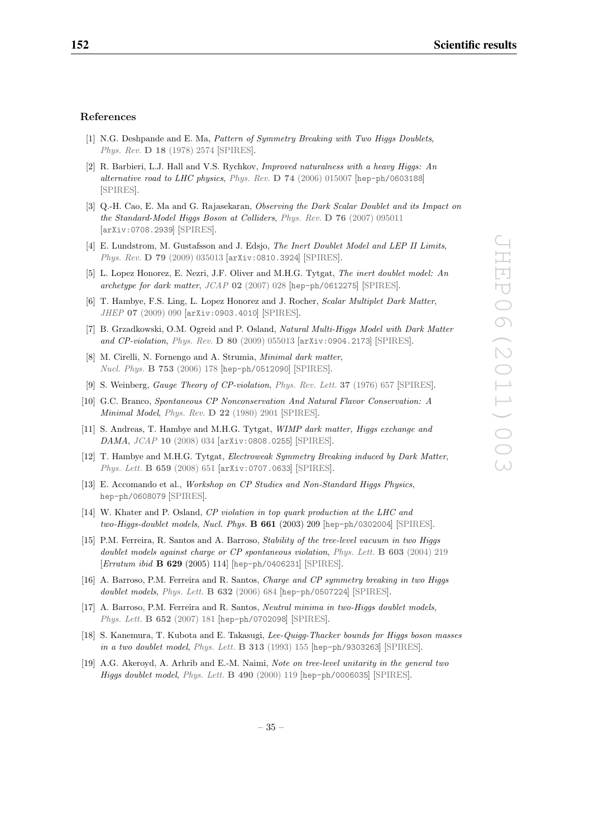#### **References**

- [1] N.G. Deshpande and E. Ma, Pattern of Symmetry Breaking with Two Higgs Doublets, Phys. Rev. **D 18** (1978) 2574 [SPIRES].
- [2] R. Barbieri, L.J. Hall and V.S. Rychkov, Improved naturalness with a heavy Higgs: An alternative road to LHC physics, Phys. Rev. **D 74** (2006) 015007 [hep-ph/0603188] [SPIRES].
- [3] Q.-H. Cao, E. Ma and G. Rajasekaran, Observing the Dark Scalar Doublet and its Impact on the Standard-Model Higgs Boson at Colliders, Phys. Rev. **D 76** (2007) 095011 [arXiv:0708.2939] [SPIRES].
- [4] E. Lundstrom, M. Gustafsson and J. Edsjo, The Inert Doublet Model and LEP II Limits, Phys. Rev. **D 79** (2009) 035013 [arXiv:0810.3924] [SPIRES].
- [5] L. Lopez Honorez, E. Nezri, J.F. Oliver and M.H.G. Tytgat, The inert doublet model: An archetype for dark matter, JCAP **02** (2007) 028 [hep-ph/0612275] [SPIRES].
- [6] T. Hambye, F.S. Ling, L. Lopez Honorez and J. Rocher, Scalar Multiplet Dark Matter, JHEP **07** (2009) 090 [arXiv:0903.4010] [SPIRES].
- [7] B. Grzadkowski, O.M. Ogreid and P. Osland, Natural Multi-Higgs Model with Dark Matter and CP-violation, Phys. Rev. **D 80** (2009) 055013 [arXiv:0904.2173] [SPIRES].
- [8] M. Cirelli, N. Fornengo and A. Strumia, Minimal dark matter, Nucl. Phys. **B 753** (2006) 178 [hep-ph/0512090] [SPIRES].
- [9] S. Weinberg, Gauge Theory of CP-violation, Phys. Rev. Lett. **37** (1976) 657 [SPIRES].
- [10] G.C. Branco, Spontaneous CP Nonconservation And Natural Flavor Conservation: A Minimal Model, Phys. Rev. **D 22** (1980) 2901 [SPIRES].
- [11] S. Andreas, T. Hambye and M.H.G. Tytgat, WIMP dark matter, Higgs exchange and DAMA, JCAP **10** (2008) 034 [arXiv:0808.0255] [SPIRES].
- [12] T. Hambye and M.H.G. Tytgat, Electroweak Symmetry Breaking induced by Dark Matter, Phys. Lett. **B 659** (2008) 651 [arXiv:0707.0633] [SPIRES].
- [13] E. Accomando et al., Workshop on CP Studies and Non-Standard Higgs Physics, hep-ph/0608079 [SPIRES].
- [14] W. Khater and P. Osland, CP violation in top quark production at the LHC and two-Higgs-doublet models, Nucl. Phys. **B 661** (2003) 209 [hep-ph/0302004] [SPIRES].
- [15] P.M. Ferreira, R. Santos and A. Barroso, Stability of the tree-level vacuum in two Higgs doublet models against charge or CP spontaneous violation, Phys. Lett. **B 603** (2004) 219 [Erratum ibid **B 629** (2005) 114] [hep-ph/0406231] [SPIRES].
- [16] A. Barroso, P.M. Ferreira and R. Santos, Charge and CP symmetry breaking in two Higgs doublet models, Phys. Lett. **B 632** (2006) 684 [hep-ph/0507224] [SPIRES].
- [17] A. Barroso, P.M. Ferreira and R. Santos, Neutral minima in two-Higgs doublet models, Phys. Lett. **B 652** (2007) 181 [hep-ph/0702098] [SPIRES].
- [18] S. Kanemura, T. Kubota and E. Takasugi, Lee-Quigg-Thacker bounds for Higgs boson masses in a two doublet model, Phys. Lett. **B 313** (1993) 155 [hep-ph/9303263] [SPIRES].
- [19] A.G. Akeroyd, A. Arhrib and E.-M. Naimi, Note on tree-level unitarity in the general two Higgs doublet model, Phys. Lett. **B 490** (2000) 119 [hep-ph/0006035] [SPIRES].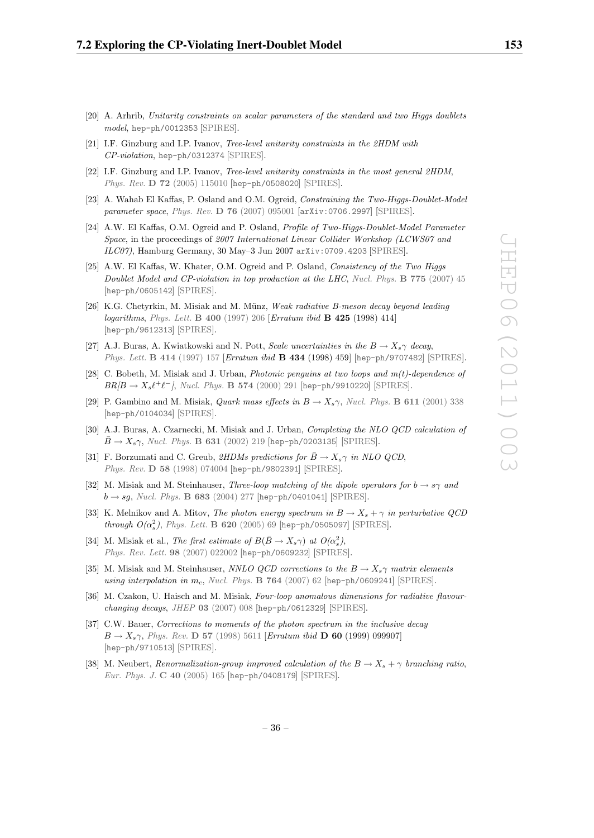- [20] A. Arhrib, Unitarity constraints on scalar parameters of the standard and two Higgs doublets model, hep-ph/0012353 [SPIRES].
- [21] I.F. Ginzburg and I.P. Ivanov, Tree-level unitarity constraints in the 2HDM with CP-violation, hep-ph/0312374 [SPIRES].
- [22] I.F. Ginzburg and I.P. Ivanov, Tree-level unitarity constraints in the most general 2HDM, Phys. Rev. **D 72** (2005) 115010 [hep-ph/0508020] [SPIRES].
- [23] A. Wahab El Kaffas, P. Osland and O.M. Ogreid, Constraining the Two-Higgs-Doublet-Model parameter space, Phys. Rev. **D 76** (2007) 095001 [arXiv:0706.2997] [SPIRES].
- [24] A.W. El Kaffas, O.M. Ogreid and P. Osland, Profile of Two-Higgs-Doublet-Model Parameter Space, in the proceedings of 2007 International Linear Collider Workshop (LCWS07 and ILC07), Hamburg Germany, 30 May–3 Jun 2007 arXiv:0709.4203 [SPIRES].
- [25] A.W. El Kaffas, W. Khater, O.M. Ogreid and P. Osland, Consistency of the Two Higgs Doublet Model and CP-violation in top production at the LHC, Nucl. Phys. **B 775** (2007) 45 [hep-ph/0605142] [SPIRES].
- [26] K.G. Chetyrkin, M. Misiak and M. Münz, Weak radiative B-meson decay beyond leading logarithms, Phys. Lett. **B 400** (1997) 206 [Erratum ibid **B 425** (1998) 414] [hep-ph/9612313] [SPIRES].
- [27] A.J. Buras, A. Kwiatkowski and N. Pott, Scale uncertainties in the  $B \to X_s \gamma$  decay, Phys. Lett. **B 414** (1997) 157 [Erratum ibid **B 434** (1998) 459] [hep-ph/9707482] [SPIRES].
- [28] C. Bobeth, M. Misiak and J. Urban, *Photonic penguins at two loops and*  $m(t)$ *-dependence of*  $BR/B \to X_s \ell^+ \ell^-$ , Nucl. Phys. **B 574** (2000) 291 [hep-ph/9910220] [SPIRES].
- [29] P. Gambino and M. Misiak, *Quark mass effects in*  $B \to X_s \gamma$ , *Nucl. Phys.* **B** 611 (2001) 338 [hep-ph/0104034] [SPIRES].
- [30] A.J. Buras, A. Czarnecki, M. Misiak and J. Urban, Completing the NLO QCD calculation of  $\bar{B} \to X_s \gamma$ , Nucl. Phys. **B** 631 (2002) 219 [hep-ph/0203135] [SPIRES].
- [31] F. Borzumati and C. Greub, 2HDMs predictions for  $\bar{B} \to X_s \gamma$  in NLO QCD, Phys. Rev. **D 58** (1998) 074004 [hep-ph/9802391] [SPIRES].
- [32] M. Misiak and M. Steinhauser, Three-loop matching of the dipole operators for  $b \rightarrow s\gamma$  and  $b \rightarrow sg$ , *Nucl. Phys.* **B 683** (2004) 277 [hep-ph/0401041] [SPIRES].
- [33] K. Melnikov and A. Mitov, The photon energy spectrum in  $B \to X_s + \gamma$  in perturbative QCD  $through\ O(\alpha_s^2),\ Phys. \ Lett.\ B\ 620\ (2005)\ 69\ [hep-ph/0505097]\ [SPIRES].$
- [34] M. Misiak et al., The first estimate of  $B(\bar{B} \to X_s \gamma)$  at  $O(\alpha_s^2)$ , Phys. Rev. Lett. **98** (2007) 022002 [hep-ph/0609232] [SPIRES].
- [35] M. Misiak and M. Steinhauser, NNLO QCD corrections to the  $B \to X_s \gamma$  matrix elements using interpolation in  $m_c$ , Nucl. Phys. **B** 764 (2007) 62 [hep-ph/0609241] [SPIRES].
- [36] M. Czakon, U. Haisch and M. Misiak, Four-loop anomalous dimensions for radiative flavourchanging decays, JHEP **03** (2007) 008 [hep-ph/0612329] [SPIRES].
- [37] C.W. Bauer, Corrections to moments of the photon spectrum in the inclusive decay  $B \to X_s \gamma$ , Phys. Rev. **D** 57 (1998) 5611 [Erratum ibid **D 60** (1999) 099907] [hep-ph/9710513] [SPIRES].
- [38] M. Neubert, Renormalization-group improved calculation of the  $B \to X_s + \gamma$  branching ratio, Eur. Phys. J. **C 40** (2005) 165 [hep-ph/0408179] [SPIRES].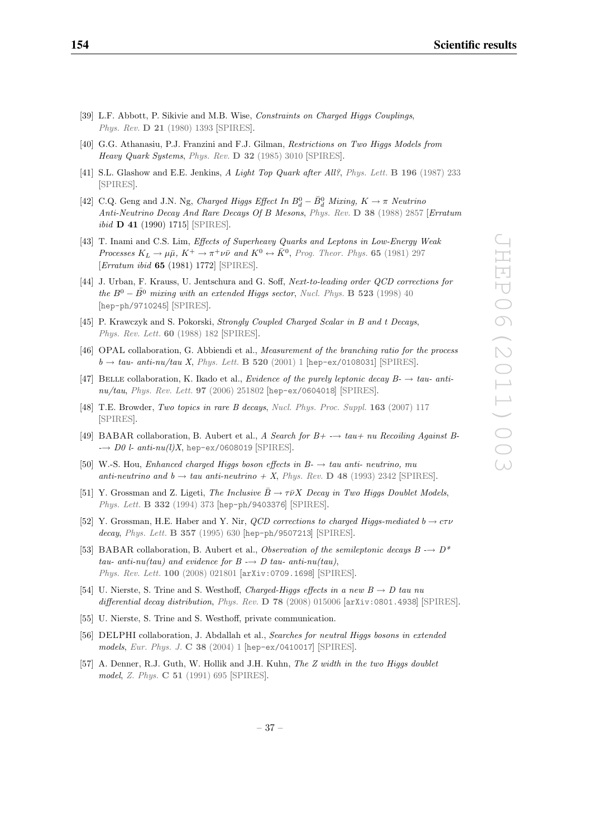- [39] L.F. Abbott, P. Sikivie and M.B. Wise, Constraints on Charged Higgs Couplings, Phys. Rev. **D 21** (1980) 1393 [SPIRES].
- [40] G.G. Athanasiu, P.J. Franzini and F.J. Gilman, Restrictions on Two Higgs Models from Heavy Quark Systems, Phys. Rev. **D 32** (1985) 3010 [SPIRES].
- [41] S.L. Glashow and E.E. Jenkins, A Light Top Quark after All?, Phys. Lett. **B 196** (1987) 233 [SPIRES].
- [42] C.Q. Geng and J.N. Ng, Charged Higgs Effect In  $B_d^0 \bar{B}_d^0$  Mixing,  $K \to \pi$  Neutrino Anti-Neutrino Decay And Rare Decays Of B Mesons, Phys. Rev. **D 38** (1988) 2857 [Erratum ibid **D 41** (1990) 1715] [SPIRES].
- [43] T. Inami and C.S. Lim, Effects of Superheavy Quarks and Leptons in Low-Energy Weak Processes  $K_L \to \mu \bar{\mu}$ ,  $K^+ \to \pi^+ \nu \bar{\nu}$  and  $K^0 \leftrightarrow \bar{K}^0$ , Prog. Theor. Phys. 65 (1981) 297 [Erratum ibid **65** (1981) 1772] [SPIRES].
- [44] J. Urban, F. Krauss, U. Jentschura and G. Soff, Next-to-leading order QCD corrections for the  $B^0 - \bar{B^0}$  mixing with an extended Higgs sector, Nucl. Phys. **B** 523 (1998) 40 [hep-ph/9710245] [SPIRES].
- [45] P. Krawczyk and S. Pokorski, Strongly Coupled Charged Scalar in B and t Decays, Phys. Rev. Lett. **60** (1988) 182 [SPIRES].
- [46] OPAL collaboration, G. Abbiendi et al., Measurement of the branching ratio for the process  $b \rightarrow tau \cdot anti \cdot nu/tau$  X, Phys. Lett. **B** 520 (2001) 1 [hep-ex/0108031] [SPIRES].
- [47] BELLE collaboration, K. Ikado et al., Evidence of the purely leptonic decay  $B \rightarrow tau$ -antinu/tau, Phys. Rev. Lett. **97** (2006) 251802 [hep-ex/0604018] [SPIRES].
- [48] T.E. Browder, Two topics in rare B decays, Nucl. Phys. Proc. Suppl. **163** (2007) 117 [SPIRES].
- [49] BABAR collaboration, B. Aubert et al., A Search for  $B^+ \rightarrow \tau$  tau + nu Recoiling Against B- $\rightarrow$  D0 l- anti-nu(l)X, hep-ex/0608019 [SPIRES].
- [50] W.-S. Hou, Enhanced charged Higgs boson effects in B-  $\rightarrow$  tau anti- neutrino, mu anti-neutrino and  $b \rightarrow ta\bar{u}$  anti-neutrino  $+ X$ , Phys. Rev. **D** 48 (1993) 2342 [SPIRES].
- [51] Y. Grossman and Z. Ligeti, The Inclusive  $\bar{B} \to \tau \bar{\nu} X$  Decay in Two Higgs Doublet Models, Phys. Lett. **B 332** (1994) 373 [hep-ph/9403376] [SPIRES].
- [52] Y. Grossman, H.E. Haber and Y. Nir, *QCD corrections to charged Higgs-mediated*  $b \rightarrow c\tau\nu$ decay, Phys. Lett. **B 357** (1995) 630 [hep-ph/9507213] [SPIRES].
- [53] BABAR collaboration, B. Aubert et al., Observation of the semileptonic decays  $B \rightarrow D^*$ tau- anti-nu(tau) and evidence for  $B \rightarrow D$  tau- anti-nu(tau), Phys. Rev. Lett. **100** (2008) 021801 [arXiv:0709.1698] [SPIRES].
- [54] U. Nierste, S. Trine and S. Westhoff, Charged-Higgs effects in a new  $B \to D$  tau nu differential decay distribution, Phys. Rev. **D 78** (2008) 015006 [arXiv:0801.4938] [SPIRES].
- [55] U. Nierste, S. Trine and S. Westhoff, private communication.
- [56] DELPHI collaboration, J. Abdallah et al., Searches for neutral Higgs bosons in extended models, Eur. Phys. J. **C 38** (2004) 1 [hep-ex/0410017] [SPIRES].
- [57] A. Denner, R.J. Guth, W. Hollik and J.H. Kuhn, The Z width in the two Higgs doublet model, Z. Phys. **C 51** (1991) 695 [SPIRES].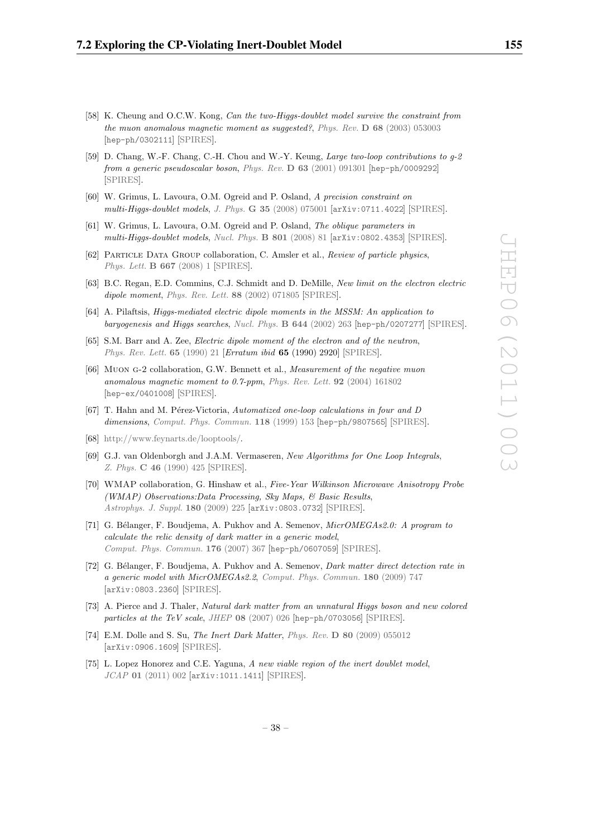- [58] K. Cheung and O.C.W. Kong, Can the two-Higgs-doublet model survive the constraint from the muon anomalous magnetic moment as suggested?, Phys. Rev. **D 68** (2003) 053003 [hep-ph/0302111] [SPIRES].
- [59] D. Chang, W.-F. Chang, C.-H. Chou and W.-Y. Keung, Large two-loop contributions to g-2 from a generic pseudoscalar boson, Phys. Rev. **D 63** (2001) 091301 [hep-ph/0009292] [SPIRES].
- [60] W. Grimus, L. Lavoura, O.M. Ogreid and P. Osland, A precision constraint on multi-Higgs-doublet models, J. Phys. **G 35** (2008) 075001 [arXiv:0711.4022] [SPIRES].
- [61] W. Grimus, L. Lavoura, O.M. Ogreid and P. Osland, The oblique parameters in multi-Higgs-doublet models, Nucl. Phys. **B 801** (2008) 81 [arXiv:0802.4353] [SPIRES].
- [62] PARTICLE DATA GROUP collaboration, C. Amsler et al., Review of particle physics, Phys. Lett. **B 667** (2008) 1 [SPIRES].
- [63] B.C. Regan, E.D. Commins, C.J. Schmidt and D. DeMille, New limit on the electron electric dipole moment, Phys. Rev. Lett. **88** (2002) 071805 [SPIRES].
- [64] A. Pilaftsis, Higgs-mediated electric dipole moments in the MSSM: An application to baryogenesis and Higgs searches, Nucl. Phys. **B 644** (2002) 263 [hep-ph/0207277] [SPIRES].
- [65] S.M. Barr and A. Zee, Electric dipole moment of the electron and of the neutron, Phys. Rev. Lett. **65** (1990) 21 [Erratum ibid **65** (1990) 2920] [SPIRES].
- [66] Muon g-2 collaboration, G.W. Bennett et al., Measurement of the negative muon anomalous magnetic moment to 0.7-ppm, Phys. Rev. Lett. **92** (2004) 161802 [hep-ex/0401008] [SPIRES].
- [67] T. Hahn and M. Pérez-Victoria, Automatized one-loop calculations in four and D dimensions, Comput. Phys. Commun. **118** (1999) 153 [hep-ph/9807565] [SPIRES].
- [68] http://www.feynarts.de/looptools/.
- [69] G.J. van Oldenborgh and J.A.M. Vermaseren, New Algorithms for One Loop Integrals, Z. Phys. **C 46** (1990) 425 [SPIRES].
- [70] WMAP collaboration, G. Hinshaw et al., Five-Year Wilkinson Microwave Anisotropy Probe (WMAP) Observations:Data Processing, Sky Maps, & Basic Results, Astrophys. J. Suppl. **180** (2009) 225 [arXiv:0803.0732] [SPIRES].
- [71] G. Bélanger, F. Boudjema, A. Pukhov and A. Semenov, MicrOMEGAs2.0: A program to calculate the relic density of dark matter in a generic model, Comput. Phys. Commun. **176** (2007) 367 [hep-ph/0607059] [SPIRES].
- [72] G. Bélanger, F. Boudjema, A. Pukhov and A. Semenov, *Dark matter direct detection rate in* a generic model with MicrOMEGAs2.2, Comput. Phys. Commun. **180** (2009) 747 [arXiv:0803.2360] [SPIRES].
- [73] A. Pierce and J. Thaler, Natural dark matter from an unnatural Higgs boson and new colored particles at the TeV scale, JHEP **08** (2007) 026 [hep-ph/0703056] [SPIRES].
- [74] E.M. Dolle and S. Su, The Inert Dark Matter, Phys. Rev. **D 80** (2009) 055012 [arXiv:0906.1609] [SPIRES].
- [75] L. Lopez Honorez and C.E. Yaguna, A new viable region of the inert doublet model, JCAP **01** (2011) 002 [arXiv:1011.1411] [SPIRES].